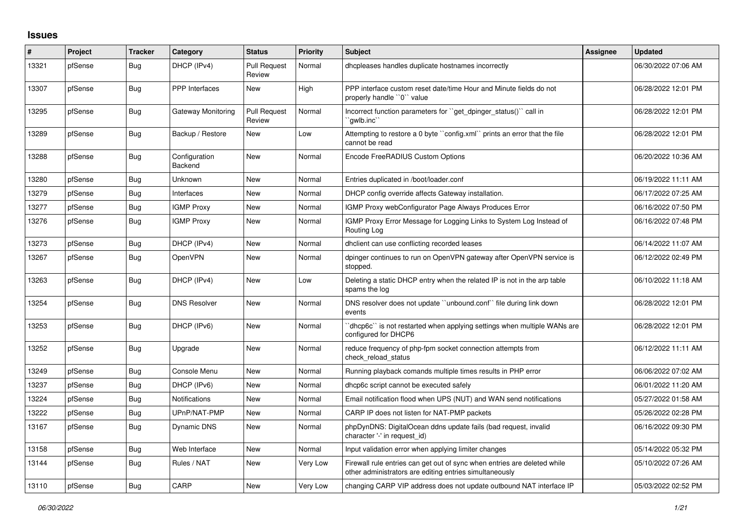## **Issues**

| #     | Project | <b>Tracker</b> | Category                 | <b>Status</b>                 | <b>Priority</b> | <b>Subject</b>                                                                                                                      | Assignee | <b>Updated</b>      |
|-------|---------|----------------|--------------------------|-------------------------------|-----------------|-------------------------------------------------------------------------------------------------------------------------------------|----------|---------------------|
| 13321 | pfSense | Bug            | DHCP (IPv4)              | <b>Pull Request</b><br>Review | Normal          | dhcpleases handles duplicate hostnames incorrectly                                                                                  |          | 06/30/2022 07:06 AM |
| 13307 | pfSense | Bug            | <b>PPP</b> Interfaces    | New                           | High            | PPP interface custom reset date/time Hour and Minute fields do not<br>properly handle "0" value                                     |          | 06/28/2022 12:01 PM |
| 13295 | pfSense | Bug            | Gateway Monitoring       | <b>Pull Request</b><br>Review | Normal          | Incorrect function parameters for "get dpinger status()" call in<br>`qwlb.inc``                                                     |          | 06/28/2022 12:01 PM |
| 13289 | pfSense | <b>Bug</b>     | Backup / Restore         | <b>New</b>                    | Low             | Attempting to restore a 0 byte "config.xml" prints an error that the file<br>cannot be read                                         |          | 06/28/2022 12:01 PM |
| 13288 | pfSense | Bug            | Configuration<br>Backend | <b>New</b>                    | Normal          | Encode FreeRADIUS Custom Options                                                                                                    |          | 06/20/2022 10:36 AM |
| 13280 | pfSense | Bug            | Unknown                  | <b>New</b>                    | Normal          | Entries duplicated in /boot/loader.conf                                                                                             |          | 06/19/2022 11:11 AM |
| 13279 | pfSense | <b>Bug</b>     | Interfaces               | New                           | Normal          | DHCP config override affects Gateway installation.                                                                                  |          | 06/17/2022 07:25 AM |
| 13277 | pfSense | Bug            | <b>IGMP Proxy</b>        | New                           | Normal          | IGMP Proxy webConfigurator Page Always Produces Error                                                                               |          | 06/16/2022 07:50 PM |
| 13276 | pfSense | Bug            | <b>IGMP Proxy</b>        | New                           | Normal          | IGMP Proxy Error Message for Logging Links to System Log Instead of<br>Routing Log                                                  |          | 06/16/2022 07:48 PM |
| 13273 | pfSense | Bug            | DHCP (IPv4)              | New                           | Normal          | dholient can use conflicting recorded leases                                                                                        |          | 06/14/2022 11:07 AM |
| 13267 | pfSense | Bug            | OpenVPN                  | <b>New</b>                    | Normal          | dpinger continues to run on OpenVPN gateway after OpenVPN service is<br>stopped.                                                    |          | 06/12/2022 02:49 PM |
| 13263 | pfSense | <b>Bug</b>     | DHCP (IPv4)              | <b>New</b>                    | Low             | Deleting a static DHCP entry when the related IP is not in the arp table<br>spams the log                                           |          | 06/10/2022 11:18 AM |
| 13254 | pfSense | <b>Bug</b>     | <b>DNS Resolver</b>      | <b>New</b>                    | Normal          | DNS resolver does not update "unbound.conf" file during link down<br>events                                                         |          | 06/28/2022 12:01 PM |
| 13253 | pfSense | Bug            | DHCP (IPv6)              | <b>New</b>                    | Normal          | 'dhcp6c' is not restarted when applying settings when multiple WANs are<br>confiaured for DHCP6                                     |          | 06/28/2022 12:01 PM |
| 13252 | pfSense | Bug            | Upgrade                  | <b>New</b>                    | Normal          | reduce frequency of php-fpm socket connection attempts from<br>check reload status                                                  |          | 06/12/2022 11:11 AM |
| 13249 | pfSense | Bug            | Console Menu             | <b>New</b>                    | Normal          | Running playback comands multiple times results in PHP error                                                                        |          | 06/06/2022 07:02 AM |
| 13237 | pfSense | Bug            | DHCP (IPv6)              | <b>New</b>                    | Normal          | dhcp6c script cannot be executed safely                                                                                             |          | 06/01/2022 11:20 AM |
| 13224 | pfSense | Bug            | <b>Notifications</b>     | <b>New</b>                    | Normal          | Email notification flood when UPS (NUT) and WAN send notifications                                                                  |          | 05/27/2022 01:58 AM |
| 13222 | pfSense | <b>Bug</b>     | UPnP/NAT-PMP             | <b>New</b>                    | Normal          | CARP IP does not listen for NAT-PMP packets                                                                                         |          | 05/26/2022 02:28 PM |
| 13167 | pfSense | Bug            | Dynamic DNS              | <b>New</b>                    | Normal          | phpDynDNS: DigitalOcean ddns update fails (bad request, invalid<br>character '-' in request id)                                     |          | 06/16/2022 09:30 PM |
| 13158 | pfSense | Bug            | Web Interface            | New                           | Normal          | Input validation error when applying limiter changes                                                                                |          | 05/14/2022 05:32 PM |
| 13144 | pfSense | Bug            | Rules / NAT              | <b>New</b>                    | Very Low        | Firewall rule entries can get out of sync when entries are deleted while<br>other administrators are editing entries simultaneously |          | 05/10/2022 07:26 AM |
| 13110 | pfSense | Bug            | CARP                     | <b>New</b>                    | Very Low        | changing CARP VIP address does not update outbound NAT interface IP                                                                 |          | 05/03/2022 02:52 PM |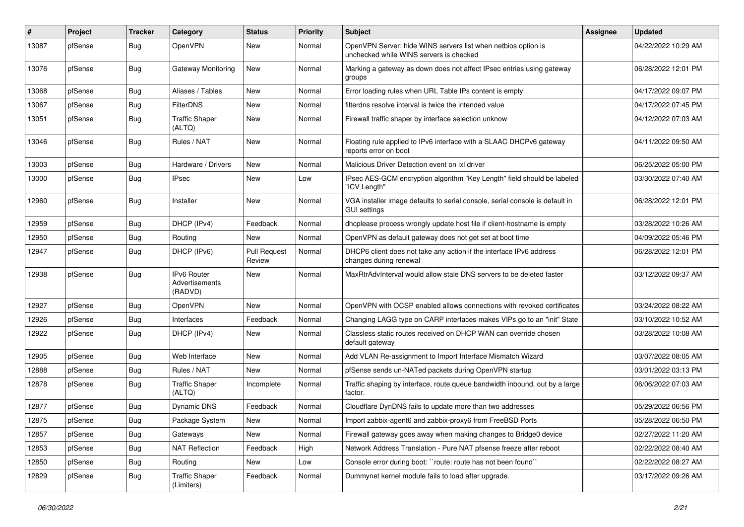| ∦     | Project | <b>Tracker</b> | Category                                 | <b>Status</b>                 | <b>Priority</b> | <b>Subject</b>                                                                                           | <b>Assignee</b> | <b>Updated</b>      |
|-------|---------|----------------|------------------------------------------|-------------------------------|-----------------|----------------------------------------------------------------------------------------------------------|-----------------|---------------------|
| 13087 | pfSense | <b>Bug</b>     | OpenVPN                                  | New                           | Normal          | OpenVPN Server: hide WINS servers list when netbios option is<br>unchecked while WINS servers is checked |                 | 04/22/2022 10:29 AM |
| 13076 | pfSense | Bug            | Gateway Monitoring                       | New                           | Normal          | Marking a gateway as down does not affect IPsec entries using gateway<br>groups                          |                 | 06/28/2022 12:01 PM |
| 13068 | pfSense | <b>Bug</b>     | Aliases / Tables                         | New                           | Normal          | Error loading rules when URL Table IPs content is empty                                                  |                 | 04/17/2022 09:07 PM |
| 13067 | pfSense | Bug            | <b>FilterDNS</b>                         | New                           | Normal          | filterdns resolve interval is twice the intended value                                                   |                 | 04/17/2022 07:45 PM |
| 13051 | pfSense | <b>Bug</b>     | <b>Traffic Shaper</b><br>(ALTQ)          | New                           | Normal          | Firewall traffic shaper by interface selection unknow                                                    |                 | 04/12/2022 07:03 AM |
| 13046 | pfSense | <b>Bug</b>     | Rules / NAT                              | New                           | Normal          | Floating rule applied to IPv6 interface with a SLAAC DHCPv6 gateway<br>reports error on boot             |                 | 04/11/2022 09:50 AM |
| 13003 | pfSense | <b>Bug</b>     | Hardware / Drivers                       | New                           | Normal          | Malicious Driver Detection event on ixl driver                                                           |                 | 06/25/2022 05:00 PM |
| 13000 | pfSense | <b>Bug</b>     | <b>IPsec</b>                             | New                           | Low             | IPsec AES-GCM encryption algorithm "Key Length" field should be labeled<br>"ICV Length"                  |                 | 03/30/2022 07:40 AM |
| 12960 | pfSense | Bug            | Installer                                | New                           | Normal          | VGA installer image defaults to serial console, serial console is default in<br>GUI settings             |                 | 06/28/2022 12:01 PM |
| 12959 | pfSense | Bug            | DHCP (IPv4)                              | Feedback                      | Normal          | dhcplease process wrongly update host file if client-hostname is empty                                   |                 | 03/28/2022 10:26 AM |
| 12950 | pfSense | Bug            | Routing                                  | <b>New</b>                    | Normal          | OpenVPN as default gateway does not get set at boot time                                                 |                 | 04/09/2022 05:46 PM |
| 12947 | pfSense | <b>Bug</b>     | DHCP (IPv6)                              | <b>Pull Request</b><br>Review | Normal          | DHCP6 client does not take any action if the interface IPv6 address<br>changes during renewal            |                 | 06/28/2022 12:01 PM |
| 12938 | pfSense | Bug            | IPv6 Router<br>Advertisements<br>(RADVD) | New                           | Normal          | MaxRtrAdvInterval would allow stale DNS servers to be deleted faster                                     |                 | 03/12/2022 09:37 AM |
| 12927 | pfSense | <b>Bug</b>     | OpenVPN                                  | <b>New</b>                    | Normal          | OpenVPN with OCSP enabled allows connections with revoked certificates                                   |                 | 03/24/2022 08:22 AM |
| 12926 | pfSense | <b>Bug</b>     | Interfaces                               | Feedback                      | Normal          | Changing LAGG type on CARP interfaces makes VIPs go to an "init" State                                   |                 | 03/10/2022 10:52 AM |
| 12922 | pfSense | <b>Bug</b>     | DHCP (IPv4)                              | New                           | Normal          | Classless static routes received on DHCP WAN can override chosen<br>default gateway                      |                 | 03/28/2022 10:08 AM |
| 12905 | pfSense | <b>Bug</b>     | Web Interface                            | <b>New</b>                    | Normal          | Add VLAN Re-assignment to Import Interface Mismatch Wizard                                               |                 | 03/07/2022 08:05 AM |
| 12888 | pfSense | <b>Bug</b>     | Rules / NAT                              | New                           | Normal          | pfSense sends un-NATed packets during OpenVPN startup                                                    |                 | 03/01/2022 03:13 PM |
| 12878 | pfSense | <b>Bug</b>     | <b>Traffic Shaper</b><br>(ALTQ)          | Incomplete                    | Normal          | Traffic shaping by interface, route queue bandwidth inbound, out by a large<br>factor.                   |                 | 06/06/2022 07:03 AM |
| 12877 | pfSense | <b>Bug</b>     | Dynamic DNS                              | Feedback                      | Normal          | Cloudflare DynDNS fails to update more than two addresses                                                |                 | 05/29/2022 06:56 PM |
| 12875 | pfSense | <b>Bug</b>     | Package System                           | New                           | Normal          | Import zabbix-agent6 and zabbix-proxy6 from FreeBSD Ports                                                |                 | 05/28/2022 06:50 PM |
| 12857 | pfSense | Bug            | Gateways                                 | New                           | Normal          | Firewall gateway goes away when making changes to Bridge0 device                                         |                 | 02/27/2022 11:20 AM |
| 12853 | pfSense | Bug            | <b>NAT Reflection</b>                    | Feedback                      | High            | Network Address Translation - Pure NAT pfsense freeze after reboot                                       |                 | 02/22/2022 08:40 AM |
| 12850 | pfSense | Bug            | Routing                                  | New                           | Low             | Console error during boot: "route: route has not been found"                                             |                 | 02/22/2022 08:27 AM |
| 12829 | pfSense | Bug            | <b>Traffic Shaper</b><br>(Limiters)      | Feedback                      | Normal          | Dummynet kernel module fails to load after upgrade.                                                      |                 | 03/17/2022 09:26 AM |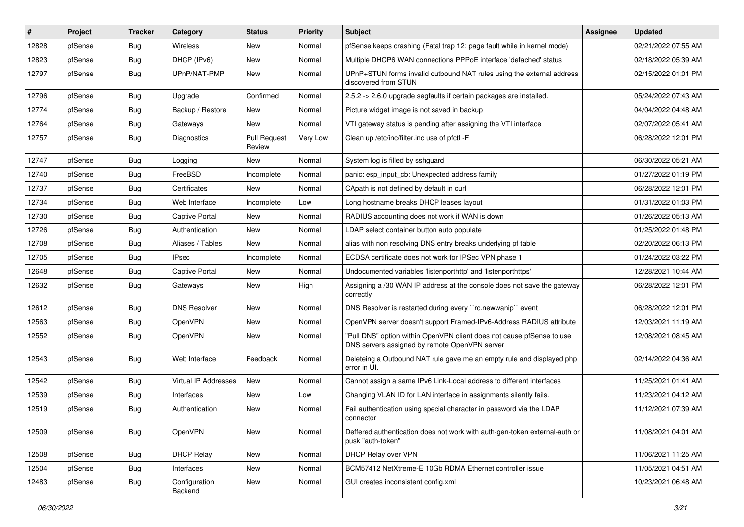| #     | Project | <b>Tracker</b> | Category                 | <b>Status</b>                 | <b>Priority</b> | Subject                                                                                                                | Assignee | <b>Updated</b>      |
|-------|---------|----------------|--------------------------|-------------------------------|-----------------|------------------------------------------------------------------------------------------------------------------------|----------|---------------------|
| 12828 | pfSense | Bug            | <b>Wireless</b>          | New                           | Normal          | pfSense keeps crashing (Fatal trap 12: page fault while in kernel mode)                                                |          | 02/21/2022 07:55 AM |
| 12823 | pfSense | <b>Bug</b>     | DHCP (IPv6)              | <b>New</b>                    | Normal          | Multiple DHCP6 WAN connections PPPoE interface 'defached' status                                                       |          | 02/18/2022 05:39 AM |
| 12797 | pfSense | Bug            | UPnP/NAT-PMP             | New                           | Normal          | UPnP+STUN forms invalid outbound NAT rules using the external address<br>discovered from STUN                          |          | 02/15/2022 01:01 PM |
| 12796 | pfSense | Bug            | Upgrade                  | Confirmed                     | Normal          | 2.5.2 -> 2.6.0 upgrade segfaults if certain packages are installed.                                                    |          | 05/24/2022 07:43 AM |
| 12774 | pfSense | Bug            | Backup / Restore         | <b>New</b>                    | Normal          | Picture widget image is not saved in backup                                                                            |          | 04/04/2022 04:48 AM |
| 12764 | pfSense | Bug            | Gateways                 | <b>New</b>                    | Normal          | VTI gateway status is pending after assigning the VTI interface                                                        |          | 02/07/2022 05:41 AM |
| 12757 | pfSense | Bug            | <b>Diagnostics</b>       | <b>Pull Request</b><br>Review | <b>Very Low</b> | Clean up /etc/inc/filter.inc use of pfctl -F                                                                           |          | 06/28/2022 12:01 PM |
| 12747 | pfSense | Bug            | Logging                  | <b>New</b>                    | Normal          | System log is filled by sshguard                                                                                       |          | 06/30/2022 05:21 AM |
| 12740 | pfSense | Bug            | FreeBSD                  | Incomplete                    | Normal          | panic: esp input cb: Unexpected address family                                                                         |          | 01/27/2022 01:19 PM |
| 12737 | pfSense | Bug            | Certificates             | New                           | Normal          | CApath is not defined by default in curl                                                                               |          | 06/28/2022 12:01 PM |
| 12734 | pfSense | Bug            | Web Interface            | Incomplete                    | Low             | Long hostname breaks DHCP leases layout                                                                                |          | 01/31/2022 01:03 PM |
| 12730 | pfSense | <b>Bug</b>     | Captive Portal           | New                           | Normal          | RADIUS accounting does not work if WAN is down                                                                         |          | 01/26/2022 05:13 AM |
| 12726 | pfSense | Bug            | Authentication           | <b>New</b>                    | Normal          | LDAP select container button auto populate                                                                             |          | 01/25/2022 01:48 PM |
| 12708 | pfSense | Bug            | Aliases / Tables         | New                           | Normal          | alias with non resolving DNS entry breaks underlying pf table                                                          |          | 02/20/2022 06:13 PM |
| 12705 | pfSense | Bug            | <b>IPsec</b>             | Incomplete                    | Normal          | ECDSA certificate does not work for IPSec VPN phase 1                                                                  |          | 01/24/2022 03:22 PM |
| 12648 | pfSense | <b>Bug</b>     | Captive Portal           | <b>New</b>                    | Normal          | Undocumented variables 'listenporthttp' and 'listenporthttps'                                                          |          | 12/28/2021 10:44 AM |
| 12632 | pfSense | Bug            | Gateways                 | New                           | High            | Assigning a /30 WAN IP address at the console does not save the gateway<br>correctly                                   |          | 06/28/2022 12:01 PM |
| 12612 | pfSense | Bug            | <b>DNS Resolver</b>      | <b>New</b>                    | Normal          | DNS Resolver is restarted during every "rc.newwanip" event                                                             |          | 06/28/2022 12:01 PM |
| 12563 | pfSense | Bug            | OpenVPN                  | New                           | Normal          | OpenVPN server doesn't support Framed-IPv6-Address RADIUS attribute                                                    |          | 12/03/2021 11:19 AM |
| 12552 | pfSense | <b>Bug</b>     | <b>OpenVPN</b>           | New                           | Normal          | "Pull DNS" option within OpenVPN client does not cause pfSense to use<br>DNS servers assigned by remote OpenVPN server |          | 12/08/2021 08:45 AM |
| 12543 | pfSense | Bug            | Web Interface            | Feedback                      | Normal          | Deleteing a Outbound NAT rule gave me an empty rule and displayed php<br>error in UI.                                  |          | 02/14/2022 04:36 AM |
| 12542 | pfSense | Bug            | Virtual IP Addresses     | <b>New</b>                    | Normal          | Cannot assign a same IPv6 Link-Local address to different interfaces                                                   |          | 11/25/2021 01:41 AM |
| 12539 | pfSense | <b>Bug</b>     | Interfaces               | New                           | Low             | Changing VLAN ID for LAN interface in assignments silently fails.                                                      |          | 11/23/2021 04:12 AM |
| 12519 | pfSense | Bug            | Authentication           | New                           | Normal          | Fail authentication using special character in password via the LDAP<br>connector                                      |          | 11/12/2021 07:39 AM |
| 12509 | pfSense | Bug            | OpenVPN                  | <b>New</b>                    | Normal          | Deffered authentication does not work with auth-gen-token external-auth or<br>pusk "auth-token"                        |          | 11/08/2021 04:01 AM |
| 12508 | pfSense | Bug            | <b>DHCP Relay</b>        | New                           | Normal          | DHCP Relay over VPN                                                                                                    |          | 11/06/2021 11:25 AM |
| 12504 | pfSense | Bug            | Interfaces               | New                           | Normal          | BCM57412 NetXtreme-E 10Gb RDMA Ethernet controller issue                                                               |          | 11/05/2021 04:51 AM |
| 12483 | pfSense | <b>Bug</b>     | Configuration<br>Backend | New                           | Normal          | GUI creates inconsistent config.xml                                                                                    |          | 10/23/2021 06:48 AM |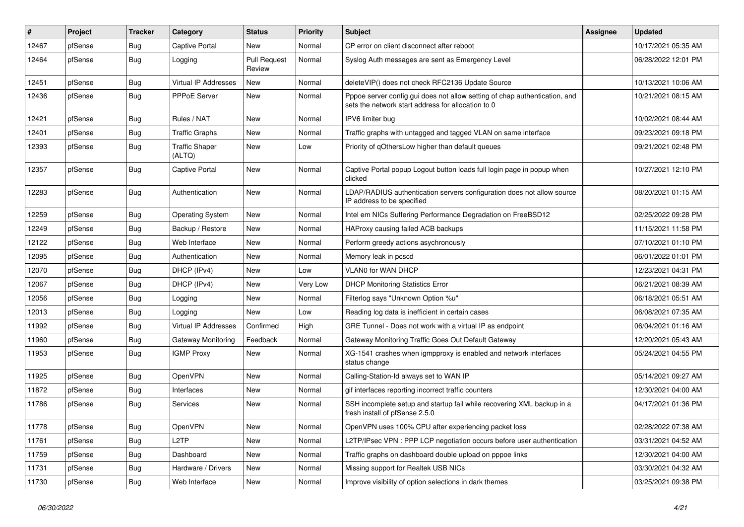| $\vert$ # | Project | <b>Tracker</b> | Category                        | <b>Status</b>                 | <b>Priority</b> | Subject                                                                                                                          | <b>Assignee</b> | <b>Updated</b>      |
|-----------|---------|----------------|---------------------------------|-------------------------------|-----------------|----------------------------------------------------------------------------------------------------------------------------------|-----------------|---------------------|
| 12467     | pfSense | Bug            | <b>Captive Portal</b>           | New                           | Normal          | CP error on client disconnect after reboot                                                                                       |                 | 10/17/2021 05:35 AM |
| 12464     | pfSense | Bug            | Logging                         | <b>Pull Request</b><br>Review | Normal          | Syslog Auth messages are sent as Emergency Level                                                                                 |                 | 06/28/2022 12:01 PM |
| 12451     | pfSense | <b>Bug</b>     | Virtual IP Addresses            | New                           | Normal          | deleteVIP() does not check RFC2136 Update Source                                                                                 |                 | 10/13/2021 10:06 AM |
| 12436     | pfSense | <b>Bug</b>     | PPPoE Server                    | New                           | Normal          | Pppoe server config gui does not allow setting of chap authentication, and<br>sets the network start address for allocation to 0 |                 | 10/21/2021 08:15 AM |
| 12421     | pfSense | Bug            | Rules / NAT                     | New                           | Normal          | IPV6 limiter bug                                                                                                                 |                 | 10/02/2021 08:44 AM |
| 12401     | pfSense | Bug            | <b>Traffic Graphs</b>           | New                           | Normal          | Traffic graphs with untagged and tagged VLAN on same interface                                                                   |                 | 09/23/2021 09:18 PM |
| 12393     | pfSense | <b>Bug</b>     | <b>Traffic Shaper</b><br>(ALTQ) | New                           | Low             | Priority of qOthersLow higher than default queues                                                                                |                 | 09/21/2021 02:48 PM |
| 12357     | pfSense | Bug            | <b>Captive Portal</b>           | New                           | Normal          | Captive Portal popup Logout button loads full login page in popup when<br>clicked                                                |                 | 10/27/2021 12:10 PM |
| 12283     | pfSense | Bug            | Authentication                  | New                           | Normal          | LDAP/RADIUS authentication servers configuration does not allow source<br>IP address to be specified                             |                 | 08/20/2021 01:15 AM |
| 12259     | pfSense | Bug            | <b>Operating System</b>         | New                           | Normal          | Intel em NICs Suffering Performance Degradation on FreeBSD12                                                                     |                 | 02/25/2022 09:28 PM |
| 12249     | pfSense | Bug            | Backup / Restore                | New                           | Normal          | HAProxy causing failed ACB backups                                                                                               |                 | 11/15/2021 11:58 PM |
| 12122     | pfSense | Bug            | Web Interface                   | New                           | Normal          | Perform greedy actions asychronously                                                                                             |                 | 07/10/2021 01:10 PM |
| 12095     | pfSense | Bug            | Authentication                  | New                           | Normal          | Memory leak in pcscd                                                                                                             |                 | 06/01/2022 01:01 PM |
| 12070     | pfSense | <b>Bug</b>     | DHCP (IPv4)                     | New                           | Low             | <b>VLAN0 for WAN DHCP</b>                                                                                                        |                 | 12/23/2021 04:31 PM |
| 12067     | pfSense | <b>Bug</b>     | DHCP (IPv4)                     | New                           | Very Low        | <b>DHCP Monitoring Statistics Error</b>                                                                                          |                 | 06/21/2021 08:39 AM |
| 12056     | pfSense | Bug            | Logging                         | New                           | Normal          | Filterlog says "Unknown Option %u"                                                                                               |                 | 06/18/2021 05:51 AM |
| 12013     | pfSense | Bug            | Logging                         | New                           | Low             | Reading log data is inefficient in certain cases                                                                                 |                 | 06/08/2021 07:35 AM |
| 11992     | pfSense | Bug            | Virtual IP Addresses            | Confirmed                     | High            | GRE Tunnel - Does not work with a virtual IP as endpoint                                                                         |                 | 06/04/2021 01:16 AM |
| 11960     | pfSense | Bug            | Gateway Monitoring              | Feedback                      | Normal          | Gateway Monitoring Traffic Goes Out Default Gateway                                                                              |                 | 12/20/2021 05:43 AM |
| 11953     | pfSense | Bug            | <b>IGMP Proxy</b>               | <b>New</b>                    | Normal          | XG-1541 crashes when igmpproxy is enabled and network interfaces<br>status change                                                |                 | 05/24/2021 04:55 PM |
| 11925     | pfSense | Bug            | OpenVPN                         | New                           | Normal          | Calling-Station-Id always set to WAN IP                                                                                          |                 | 05/14/2021 09:27 AM |
| 11872     | pfSense | <b>Bug</b>     | Interfaces                      | New                           | Normal          | gif interfaces reporting incorrect traffic counters                                                                              |                 | 12/30/2021 04:00 AM |
| 11786     | pfSense | Bug            | <b>Services</b>                 | New                           | Normal          | SSH incomplete setup and startup fail while recovering XML backup in a<br>fresh install of pfSense 2.5.0                         |                 | 04/17/2021 01:36 PM |
| 11778     | pfSense | <b>Bug</b>     | OpenVPN                         | New                           | Normal          | OpenVPN uses 100% CPU after experiencing packet loss                                                                             |                 | 02/28/2022 07:38 AM |
| 11761     | pfSense | Bug            | L <sub>2</sub> TP               | New                           | Normal          | L2TP/IPsec VPN : PPP LCP negotiation occurs before user authentication                                                           |                 | 03/31/2021 04:52 AM |
| 11759     | pfSense | Bug            | Dashboard                       | New                           | Normal          | Traffic graphs on dashboard double upload on pppoe links                                                                         |                 | 12/30/2021 04:00 AM |
| 11731     | pfSense | <b>Bug</b>     | Hardware / Drivers              | New                           | Normal          | Missing support for Realtek USB NICs                                                                                             |                 | 03/30/2021 04:32 AM |
| 11730     | pfSense | <b>Bug</b>     | Web Interface                   | New                           | Normal          | Improve visibility of option selections in dark themes                                                                           |                 | 03/25/2021 09:38 PM |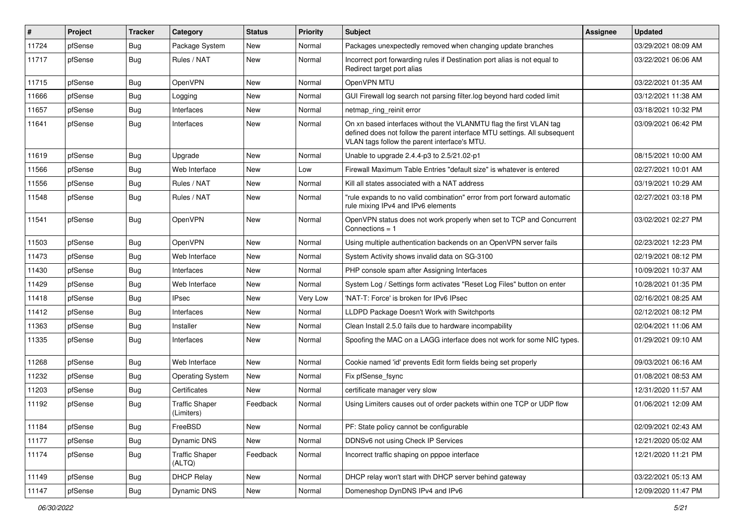| #     | Project | <b>Tracker</b> | Category                            | <b>Status</b> | <b>Priority</b> | Subject                                                                                                                                                                                         | <b>Assignee</b> | <b>Updated</b>      |
|-------|---------|----------------|-------------------------------------|---------------|-----------------|-------------------------------------------------------------------------------------------------------------------------------------------------------------------------------------------------|-----------------|---------------------|
| 11724 | pfSense | Bug            | Package System                      | New           | Normal          | Packages unexpectedly removed when changing update branches                                                                                                                                     |                 | 03/29/2021 08:09 AM |
| 11717 | pfSense | <b>Bug</b>     | Rules / NAT                         | <b>New</b>    | Normal          | Incorrect port forwarding rules if Destination port alias is not equal to<br>Redirect target port alias                                                                                         |                 | 03/22/2021 06:06 AM |
| 11715 | pfSense | <b>Bug</b>     | OpenVPN                             | <b>New</b>    | Normal          | OpenVPN MTU                                                                                                                                                                                     |                 | 03/22/2021 01:35 AM |
| 11666 | pfSense | Bug            | Logging                             | New           | Normal          | GUI Firewall log search not parsing filter.log beyond hard coded limit                                                                                                                          |                 | 03/12/2021 11:38 AM |
| 11657 | pfSense | Bug            | Interfaces                          | New           | Normal          | netmap_ring_reinit error                                                                                                                                                                        |                 | 03/18/2021 10:32 PM |
| 11641 | pfSense | <b>Bug</b>     | Interfaces                          | New           | Normal          | On xn based interfaces without the VLANMTU flag the first VLAN tag<br>defined does not follow the parent interface MTU settings. All subsequent<br>VLAN tags follow the parent interface's MTU. |                 | 03/09/2021 06:42 PM |
| 11619 | pfSense | <b>Bug</b>     | Upgrade                             | <b>New</b>    | Normal          | Unable to upgrade 2.4.4-p3 to 2.5/21.02-p1                                                                                                                                                      |                 | 08/15/2021 10:00 AM |
| 11566 | pfSense | Bug            | Web Interface                       | New           | Low             | Firewall Maximum Table Entries "default size" is whatever is entered                                                                                                                            |                 | 02/27/2021 10:01 AM |
| 11556 | pfSense | Bug            | Rules / NAT                         | New           | Normal          | Kill all states associated with a NAT address                                                                                                                                                   |                 | 03/19/2021 10:29 AM |
| 11548 | pfSense | Bug            | Rules / NAT                         | New           | Normal          | "rule expands to no valid combination" error from port forward automatic<br>rule mixing IPv4 and IPv6 elements                                                                                  |                 | 02/27/2021 03:18 PM |
| 11541 | pfSense | Bug            | OpenVPN                             | New           | Normal          | OpenVPN status does not work properly when set to TCP and Concurrent<br>Connections $= 1$                                                                                                       |                 | 03/02/2021 02:27 PM |
| 11503 | pfSense | Bug            | OpenVPN                             | New           | Normal          | Using multiple authentication backends on an OpenVPN server fails                                                                                                                               |                 | 02/23/2021 12:23 PM |
| 11473 | pfSense | <b>Bug</b>     | Web Interface                       | New           | Normal          | System Activity shows invalid data on SG-3100                                                                                                                                                   |                 | 02/19/2021 08:12 PM |
| 11430 | pfSense | <b>Bug</b>     | Interfaces                          | New           | Normal          | PHP console spam after Assigning Interfaces                                                                                                                                                     |                 | 10/09/2021 10:37 AM |
| 11429 | pfSense | <b>Bug</b>     | Web Interface                       | <b>New</b>    | Normal          | System Log / Settings form activates "Reset Log Files" button on enter                                                                                                                          |                 | 10/28/2021 01:35 PM |
| 11418 | pfSense | <b>Bug</b>     | <b>IPsec</b>                        | New           | Very Low        | 'NAT-T: Force' is broken for IPv6 IPsec                                                                                                                                                         |                 | 02/16/2021 08:25 AM |
| 11412 | pfSense | Bug            | Interfaces                          | New           | Normal          | LLDPD Package Doesn't Work with Switchports                                                                                                                                                     |                 | 02/12/2021 08:12 PM |
| 11363 | pfSense | Bug            | Installer                           | New           | Normal          | Clean Install 2.5.0 fails due to hardware incompability                                                                                                                                         |                 | 02/04/2021 11:06 AM |
| 11335 | pfSense | <b>Bug</b>     | Interfaces                          | <b>New</b>    | Normal          | Spoofing the MAC on a LAGG interface does not work for some NIC types.                                                                                                                          |                 | 01/29/2021 09:10 AM |
| 11268 | pfSense | Bug            | Web Interface                       | <b>New</b>    | Normal          | Cookie named 'id' prevents Edit form fields being set properly                                                                                                                                  |                 | 09/03/2021 06:16 AM |
| 11232 | pfSense | Bug            | <b>Operating System</b>             | New           | Normal          | Fix pfSense_fsync                                                                                                                                                                               |                 | 01/08/2021 08:53 AM |
| 11203 | pfSense | <b>Bug</b>     | Certificates                        | <b>New</b>    | Normal          | certificate manager very slow                                                                                                                                                                   |                 | 12/31/2020 11:57 AM |
| 11192 | pfSense | <b>Bug</b>     | <b>Traffic Shaper</b><br>(Limiters) | Feedback      | Normal          | Using Limiters causes out of order packets within one TCP or UDP flow                                                                                                                           |                 | 01/06/2021 12:09 AM |
| 11184 | pfSense | <b>Bug</b>     | FreeBSD                             | New           | Normal          | PF: State policy cannot be configurable                                                                                                                                                         |                 | 02/09/2021 02:43 AM |
| 11177 | pfSense | <b>Bug</b>     | Dynamic DNS                         | New           | Normal          | DDNSv6 not using Check IP Services                                                                                                                                                              |                 | 12/21/2020 05:02 AM |
| 11174 | pfSense | <b>Bug</b>     | <b>Traffic Shaper</b><br>(ALTQ)     | Feedback      | Normal          | Incorrect traffic shaping on pppoe interface                                                                                                                                                    |                 | 12/21/2020 11:21 PM |
| 11149 | pfSense | Bug            | <b>DHCP Relay</b>                   | New           | Normal          | DHCP relay won't start with DHCP server behind gateway                                                                                                                                          |                 | 03/22/2021 05:13 AM |
| 11147 | pfSense | Bug            | Dynamic DNS                         | New           | Normal          | Domeneshop DynDNS IPv4 and IPv6                                                                                                                                                                 |                 | 12/09/2020 11:47 PM |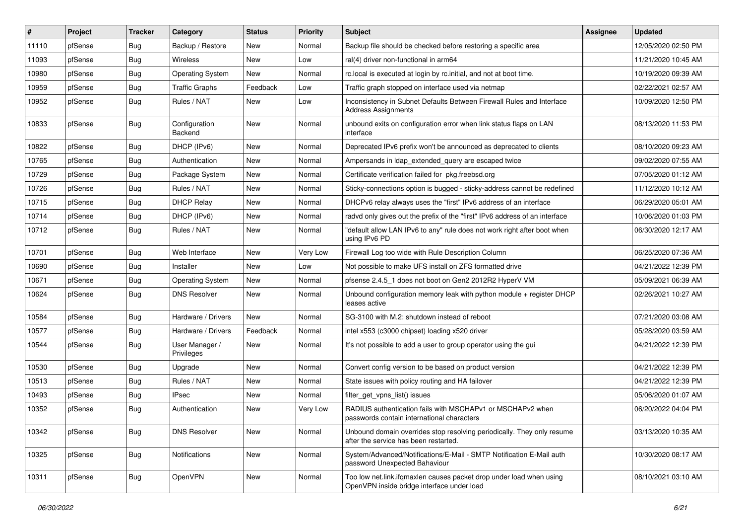| #     | Project | <b>Tracker</b> | Category                     | <b>Status</b> | <b>Priority</b> | Subject                                                                                                           | Assignee | <b>Updated</b>      |
|-------|---------|----------------|------------------------------|---------------|-----------------|-------------------------------------------------------------------------------------------------------------------|----------|---------------------|
| 11110 | pfSense | Bug            | Backup / Restore             | New           | Normal          | Backup file should be checked before restoring a specific area                                                    |          | 12/05/2020 02:50 PM |
| 11093 | pfSense | <b>Bug</b>     | Wireless                     | New           | Low             | ral(4) driver non-functional in arm64                                                                             |          | 11/21/2020 10:45 AM |
| 10980 | pfSense | <b>Bug</b>     | <b>Operating System</b>      | New           | Normal          | rc.local is executed at login by rc.initial, and not at boot time.                                                |          | 10/19/2020 09:39 AM |
| 10959 | pfSense | <b>Bug</b>     | <b>Traffic Graphs</b>        | Feedback      | Low             | Traffic graph stopped on interface used via netmap                                                                |          | 02/22/2021 02:57 AM |
| 10952 | pfSense | Bug            | Rules / NAT                  | New           | Low             | Inconsistency in Subnet Defaults Between Firewall Rules and Interface<br><b>Address Assignments</b>               |          | 10/09/2020 12:50 PM |
| 10833 | pfSense | Bug            | Configuration<br>Backend     | New           | Normal          | unbound exits on configuration error when link status flaps on LAN<br>interface                                   |          | 08/13/2020 11:53 PM |
| 10822 | pfSense | <b>Bug</b>     | DHCP (IPv6)                  | New           | Normal          | Deprecated IPv6 prefix won't be announced as deprecated to clients                                                |          | 08/10/2020 09:23 AM |
| 10765 | pfSense | Bug            | Authentication               | New           | Normal          | Ampersands in Idap_extended_query are escaped twice                                                               |          | 09/02/2020 07:55 AM |
| 10729 | pfSense | <b>Bug</b>     | Package System               | New           | Normal          | Certificate verification failed for pkg.freebsd.org                                                               |          | 07/05/2020 01:12 AM |
| 10726 | pfSense | <b>Bug</b>     | Rules / NAT                  | New           | Normal          | Sticky-connections option is bugged - sticky-address cannot be redefined                                          |          | 11/12/2020 10:12 AM |
| 10715 | pfSense | <b>Bug</b>     | <b>DHCP Relay</b>            | New           | Normal          | DHCPv6 relay always uses the "first" IPv6 address of an interface                                                 |          | 06/29/2020 05:01 AM |
| 10714 | pfSense | <b>Bug</b>     | DHCP (IPv6)                  | New           | Normal          | radyd only gives out the prefix of the "first" IPv6 address of an interface                                       |          | 10/06/2020 01:03 PM |
| 10712 | pfSense | Bug            | Rules / NAT                  | New           | Normal          | "default allow LAN IPv6 to any" rule does not work right after boot when<br>using IPv6 PD                         |          | 06/30/2020 12:17 AM |
| 10701 | pfSense | <b>Bug</b>     | Web Interface                | New           | <b>Very Low</b> | Firewall Log too wide with Rule Description Column                                                                |          | 06/25/2020 07:36 AM |
| 10690 | pfSense | <b>Bug</b>     | Installer                    | New           | Low             | Not possible to make UFS install on ZFS formatted drive                                                           |          | 04/21/2022 12:39 PM |
| 10671 | pfSense | Bug            | <b>Operating System</b>      | New           | Normal          | pfsense 2.4.5_1 does not boot on Gen2 2012R2 HyperV VM                                                            |          | 05/09/2021 06:39 AM |
| 10624 | pfSense | Bug            | <b>DNS Resolver</b>          | New           | Normal          | Unbound configuration memory leak with python module + register DHCP<br>leases active                             |          | 02/26/2021 10:27 AM |
| 10584 | pfSense | <b>Bug</b>     | Hardware / Drivers           | <b>New</b>    | Normal          | SG-3100 with M.2: shutdown instead of reboot                                                                      |          | 07/21/2020 03:08 AM |
| 10577 | pfSense | <b>Bug</b>     | Hardware / Drivers           | Feedback      | Normal          | intel x553 (c3000 chipset) loading x520 driver                                                                    |          | 05/28/2020 03:59 AM |
| 10544 | pfSense | <b>Bug</b>     | User Manager /<br>Privileges | New           | Normal          | It's not possible to add a user to group operator using the gui                                                   |          | 04/21/2022 12:39 PM |
| 10530 | pfSense | <b>Bug</b>     | Upgrade                      | New           | Normal          | Convert config version to be based on product version                                                             |          | 04/21/2022 12:39 PM |
| 10513 | pfSense | <b>Bug</b>     | Rules / NAT                  | New           | Normal          | State issues with policy routing and HA failover                                                                  |          | 04/21/2022 12:39 PM |
| 10493 | pfSense | <b>Bug</b>     | <b>IPsec</b>                 | New           | Normal          | filter_get_vpns_list() issues                                                                                     |          | 05/06/2020 01:07 AM |
| 10352 | pfSense | <b>Bug</b>     | Authentication               | New           | Very Low        | RADIUS authentication fails with MSCHAPv1 or MSCHAPv2 when<br>passwords contain international characters          |          | 06/20/2022 04:04 PM |
| 10342 | pfSense | <b>Bug</b>     | <b>DNS Resolver</b>          | New           | Normal          | Unbound domain overrides stop resolving periodically. They only resume<br>after the service has been restarted.   |          | 03/13/2020 10:35 AM |
| 10325 | pfSense | <b>Bug</b>     | <b>Notifications</b>         | New           | Normal          | System/Advanced/Notifications/E-Mail - SMTP Notification E-Mail auth<br>password Unexpected Bahaviour             |          | 10/30/2020 08:17 AM |
| 10311 | pfSense | <b>Bug</b>     | OpenVPN                      | New           | Normal          | Too low net.link.ifqmaxlen causes packet drop under load when using<br>OpenVPN inside bridge interface under load |          | 08/10/2021 03:10 AM |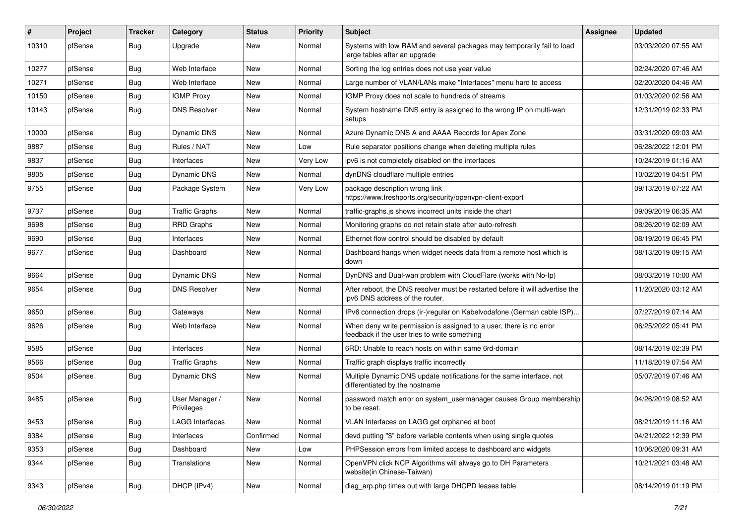| ∦     | Project | <b>Tracker</b> | Category                     | <b>Status</b> | <b>Priority</b> | Subject                                                                                                              | <b>Assignee</b> | <b>Updated</b>      |
|-------|---------|----------------|------------------------------|---------------|-----------------|----------------------------------------------------------------------------------------------------------------------|-----------------|---------------------|
| 10310 | pfSense | Bug            | Upgrade                      | New           | Normal          | Systems with low RAM and several packages may temporarily fail to load<br>large tables after an upgrade              |                 | 03/03/2020 07:55 AM |
| 10277 | pfSense | <b>Bug</b>     | Web Interface                | New           | Normal          | Sorting the log entries does not use year value                                                                      |                 | 02/24/2020 07:46 AM |
| 10271 | pfSense | <b>Bug</b>     | Web Interface                | New           | Normal          | Large number of VLAN/LANs make "Interfaces" menu hard to access                                                      |                 | 02/20/2020 04:46 AM |
| 10150 | pfSense | Bug            | <b>IGMP Proxy</b>            | New           | Normal          | IGMP Proxy does not scale to hundreds of streams                                                                     |                 | 01/03/2020 02:56 AM |
| 10143 | pfSense | Bug            | <b>DNS Resolver</b>          | New           | Normal          | System hostname DNS entry is assigned to the wrong IP on multi-wan<br>setups                                         |                 | 12/31/2019 02:33 PM |
| 10000 | pfSense | <b>Bug</b>     | Dynamic DNS                  | New           | Normal          | Azure Dynamic DNS A and AAAA Records for Apex Zone                                                                   |                 | 03/31/2020 09:03 AM |
| 9887  | pfSense | Bug            | Rules / NAT                  | New           | Low             | Rule separator positions change when deleting multiple rules                                                         |                 | 06/28/2022 12:01 PM |
| 9837  | pfSense | <b>Bug</b>     | Interfaces                   | New           | Very Low        | ipv6 is not completely disabled on the interfaces                                                                    |                 | 10/24/2019 01:16 AM |
| 9805  | pfSense | Bug            | Dynamic DNS                  | New           | Normal          | dynDNS cloudflare multiple entries                                                                                   |                 | 10/02/2019 04:51 PM |
| 9755  | pfSense | <b>Bug</b>     | Package System               | New           | Very Low        | package description wrong link<br>https://www.freshports.org/security/openvpn-client-export                          |                 | 09/13/2019 07:22 AM |
| 9737  | pfSense | Bug            | <b>Traffic Graphs</b>        | New           | Normal          | traffic-graphs.js shows incorrect units inside the chart                                                             |                 | 09/09/2019 06:35 AM |
| 9698  | pfSense | <b>Bug</b>     | <b>RRD Graphs</b>            | New           | Normal          | Monitoring graphs do not retain state after auto-refresh                                                             |                 | 08/26/2019 02:09 AM |
| 9690  | pfSense | Bug            | Interfaces                   | New           | Normal          | Ethernet flow control should be disabled by default                                                                  |                 | 08/19/2019 06:45 PM |
| 9677  | pfSense | Bug            | Dashboard                    | New           | Normal          | Dashboard hangs when widget needs data from a remote host which is<br>down                                           |                 | 08/13/2019 09:15 AM |
| 9664  | pfSense | Bug            | Dynamic DNS                  | New           | Normal          | DynDNS and Dual-wan problem with CloudFlare (works with No-Ip)                                                       |                 | 08/03/2019 10:00 AM |
| 9654  | pfSense | <b>Bug</b>     | <b>DNS Resolver</b>          | New           | Normal          | After reboot, the DNS resolver must be restarted before it will advertise the<br>ipv6 DNS address of the router.     |                 | 11/20/2020 03:12 AM |
| 9650  | pfSense | Bug            | Gateways                     | New           | Normal          | IPv6 connection drops (ir-)regular on Kabelvodafone (German cable ISP)                                               |                 | 07/27/2019 07:14 AM |
| 9626  | pfSense | Bug            | Web Interface                | New           | Normal          | When deny write permission is assigned to a user, there is no error<br>feedback if the user tries to write something |                 | 06/25/2022 05:41 PM |
| 9585  | pfSense | Bug            | Interfaces                   | New           | Normal          | 6RD: Unable to reach hosts on within same 6rd-domain                                                                 |                 | 08/14/2019 02:39 PM |
| 9566  | pfSense | Bug            | <b>Traffic Graphs</b>        | New           | Normal          | Traffic graph displays traffic incorrectly                                                                           |                 | 11/18/2019 07:54 AM |
| 9504  | pfSense | Bug            | Dynamic DNS                  | New           | Normal          | Multiple Dynamic DNS update notifications for the same interface, not<br>differentiated by the hostname              |                 | 05/07/2019 07:46 AM |
| 9485  | pfSense | <b>Bug</b>     | User Manager /<br>Privileges | <b>New</b>    | Normal          | password match error on system_usermanager causes Group membership<br>to be reset.                                   |                 | 04/26/2019 08:52 AM |
| 9453  | pfSense | Bug            | <b>LAGG Interfaces</b>       | New           | Normal          | VLAN Interfaces on LAGG get orphaned at boot                                                                         |                 | 08/21/2019 11:16 AM |
| 9384  | pfSense | <b>Bug</b>     | Interfaces                   | Confirmed     | Normal          | devd putting "\$" before variable contents when using single quotes                                                  |                 | 04/21/2022 12:39 PM |
| 9353  | pfSense | <b>Bug</b>     | Dashboard                    | New           | Low             | PHPSession errors from limited access to dashboard and widgets                                                       |                 | 10/06/2020 09:31 AM |
| 9344  | pfSense | Bug            | Translations                 | New           | Normal          | OpenVPN click NCP Algorithms will always go to DH Parameters<br>website(in Chinese-Taiwan)                           |                 | 10/21/2021 03:48 AM |
| 9343  | pfSense | <b>Bug</b>     | DHCP (IPv4)                  | New           | Normal          | diag_arp.php times out with large DHCPD leases table                                                                 |                 | 08/14/2019 01:19 PM |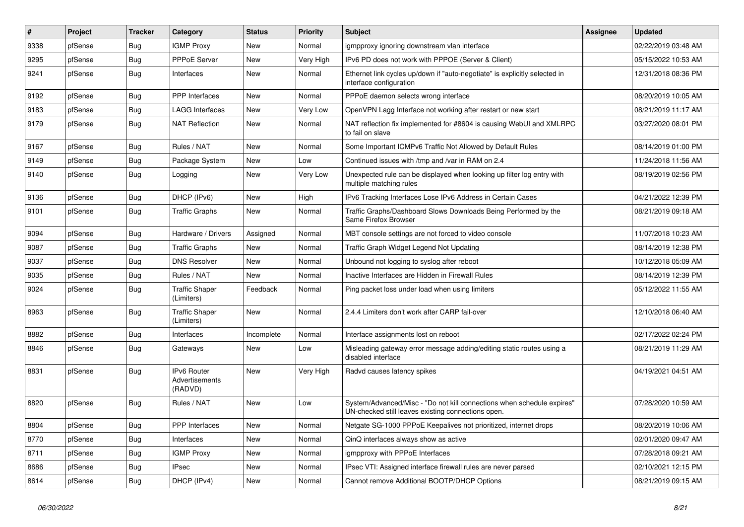| $\vert$ # | Project | <b>Tracker</b> | Category                                 | <b>Status</b> | <b>Priority</b> | Subject                                                                                                                      | Assignee | <b>Updated</b>      |
|-----------|---------|----------------|------------------------------------------|---------------|-----------------|------------------------------------------------------------------------------------------------------------------------------|----------|---------------------|
| 9338      | pfSense | Bug            | <b>IGMP Proxy</b>                        | New           | Normal          | igmpproxy ignoring downstream vlan interface                                                                                 |          | 02/22/2019 03:48 AM |
| 9295      | pfSense | Bug            | <b>PPPoE Server</b>                      | New           | Very High       | IPv6 PD does not work with PPPOE (Server & Client)                                                                           |          | 05/15/2022 10:53 AM |
| 9241      | pfSense | <b>Bug</b>     | Interfaces                               | New           | Normal          | Ethernet link cycles up/down if "auto-negotiate" is explicitly selected in<br>interface configuration                        |          | 12/31/2018 08:36 PM |
| 9192      | pfSense | <b>Bug</b>     | PPP Interfaces                           | <b>New</b>    | Normal          | PPPoE daemon selects wrong interface                                                                                         |          | 08/20/2019 10:05 AM |
| 9183      | pfSense | Bug            | <b>LAGG Interfaces</b>                   | New           | <b>Very Low</b> | OpenVPN Lagg Interface not working after restart or new start                                                                |          | 08/21/2019 11:17 AM |
| 9179      | pfSense | <b>Bug</b>     | <b>NAT Reflection</b>                    | New           | Normal          | NAT reflection fix implemented for #8604 is causing WebUI and XMLRPC<br>to fail on slave                                     |          | 03/27/2020 08:01 PM |
| 9167      | pfSense | Bug            | Rules / NAT                              | New           | Normal          | Some Important ICMPv6 Traffic Not Allowed by Default Rules                                                                   |          | 08/14/2019 01:00 PM |
| 9149      | pfSense | Bug            | Package System                           | New           | Low             | Continued issues with /tmp and /var in RAM on 2.4                                                                            |          | 11/24/2018 11:56 AM |
| 9140      | pfSense | Bug            | Logging                                  | New           | Very Low        | Unexpected rule can be displayed when looking up filter log entry with<br>multiple matching rules                            |          | 08/19/2019 02:56 PM |
| 9136      | pfSense | Bug            | DHCP (IPv6)                              | <b>New</b>    | High            | IPv6 Tracking Interfaces Lose IPv6 Address in Certain Cases                                                                  |          | 04/21/2022 12:39 PM |
| 9101      | pfSense | Bug            | <b>Traffic Graphs</b>                    | New           | Normal          | Traffic Graphs/Dashboard Slows Downloads Being Performed by the<br>Same Firefox Browser                                      |          | 08/21/2019 09:18 AM |
| 9094      | pfSense | Bug            | Hardware / Drivers                       | Assigned      | Normal          | MBT console settings are not forced to video console                                                                         |          | 11/07/2018 10:23 AM |
| 9087      | pfSense | Bug            | <b>Traffic Graphs</b>                    | New           | Normal          | Traffic Graph Widget Legend Not Updating                                                                                     |          | 08/14/2019 12:38 PM |
| 9037      | pfSense | Bug            | <b>DNS Resolver</b>                      | New           | Normal          | Unbound not logging to syslog after reboot                                                                                   |          | 10/12/2018 05:09 AM |
| 9035      | pfSense | Bug            | Rules / NAT                              | New           | Normal          | Inactive Interfaces are Hidden in Firewall Rules                                                                             |          | 08/14/2019 12:39 PM |
| 9024      | pfSense | Bug            | <b>Traffic Shaper</b><br>(Limiters)      | Feedback      | Normal          | Ping packet loss under load when using limiters                                                                              |          | 05/12/2022 11:55 AM |
| 8963      | pfSense | Bug            | <b>Traffic Shaper</b><br>(Limiters)      | New           | Normal          | 2.4.4 Limiters don't work after CARP fail-over                                                                               |          | 12/10/2018 06:40 AM |
| 8882      | pfSense | Bug            | Interfaces                               | Incomplete    | Normal          | Interface assignments lost on reboot                                                                                         |          | 02/17/2022 02:24 PM |
| 8846      | pfSense | Bug            | Gateways                                 | New           | Low             | Misleading gateway error message adding/editing static routes using a<br>disabled interface                                  |          | 08/21/2019 11:29 AM |
| 8831      | pfSense | Bug            | IPv6 Router<br>Advertisements<br>(RADVD) | New           | Very High       | Radvd causes latency spikes                                                                                                  |          | 04/19/2021 04:51 AM |
| 8820      | pfSense | Bug            | Rules / NAT                              | New           | Low             | System/Advanced/Misc - "Do not kill connections when schedule expires"<br>UN-checked still leaves existing connections open. |          | 07/28/2020 10:59 AM |
| 8804      | pfSense | <b>Bug</b>     | PPP Interfaces                           | <b>New</b>    | Normal          | Netgate SG-1000 PPPoE Keepalives not prioritized, internet drops                                                             |          | 08/20/2019 10:06 AM |
| 8770      | pfSense | Bug            | Interfaces                               | New           | Normal          | QinQ interfaces always show as active                                                                                        |          | 02/01/2020 09:47 AM |
| 8711      | pfSense | <b>Bug</b>     | <b>IGMP Proxy</b>                        | New           | Normal          | igmpproxy with PPPoE Interfaces                                                                                              |          | 07/28/2018 09:21 AM |
| 8686      | pfSense | <b>Bug</b>     | IPsec                                    | New           | Normal          | IPsec VTI: Assigned interface firewall rules are never parsed                                                                |          | 02/10/2021 12:15 PM |
| 8614      | pfSense | Bug            | DHCP (IPv4)                              | New           | Normal          | Cannot remove Additional BOOTP/DHCP Options                                                                                  |          | 08/21/2019 09:15 AM |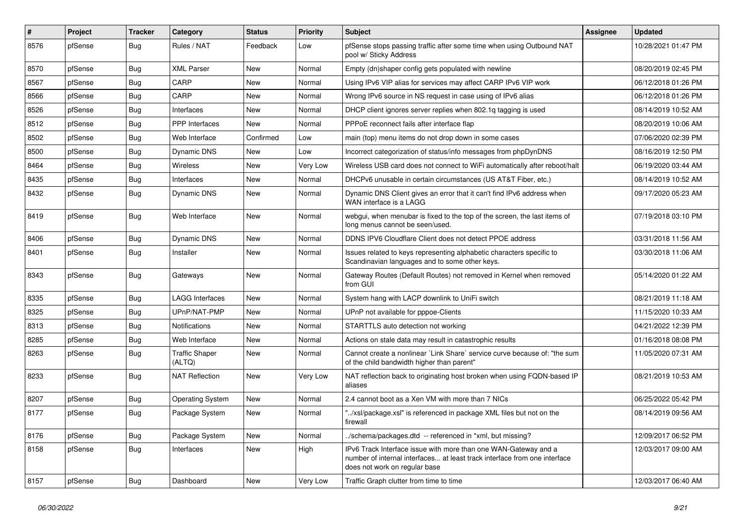| #    | Project | <b>Tracker</b> | Category                        | <b>Status</b> | <b>Priority</b> | Subject                                                                                                                                                                       | <b>Assignee</b> | <b>Updated</b>      |
|------|---------|----------------|---------------------------------|---------------|-----------------|-------------------------------------------------------------------------------------------------------------------------------------------------------------------------------|-----------------|---------------------|
| 8576 | pfSense | Bug            | Rules / NAT                     | Feedback      | Low             | pfSense stops passing traffic after some time when using Outbound NAT<br>pool w/ Sticky Address                                                                               |                 | 10/28/2021 01:47 PM |
| 8570 | pfSense | Bug            | <b>XML Parser</b>               | New           | Normal          | Empty (dn)shaper config gets populated with newline                                                                                                                           |                 | 08/20/2019 02:45 PM |
| 8567 | pfSense | Bug            | CARP                            | New           | Normal          | Using IPv6 VIP alias for services may affect CARP IPv6 VIP work                                                                                                               |                 | 06/12/2018 01:26 PM |
| 8566 | pfSense | <b>Bug</b>     | CARP                            | New           | Normal          | Wrong IPv6 source in NS request in case using of IPv6 alias                                                                                                                   |                 | 06/12/2018 01:26 PM |
| 8526 | pfSense | Bug            | Interfaces                      | New           | Normal          | DHCP client ignores server replies when 802.1q tagging is used                                                                                                                |                 | 08/14/2019 10:52 AM |
| 8512 | pfSense | Bug            | <b>PPP</b> Interfaces           | New           | Normal          | PPPoE reconnect fails after interface flap                                                                                                                                    |                 | 08/20/2019 10:06 AM |
| 8502 | pfSense | Bug            | Web Interface                   | Confirmed     | Low             | main (top) menu items do not drop down in some cases                                                                                                                          |                 | 07/06/2020 02:39 PM |
| 8500 | pfSense | Bug            | Dynamic DNS                     | New           | Low             | Incorrect categorization of status/info messages from phpDynDNS                                                                                                               |                 | 08/16/2019 12:50 PM |
| 8464 | pfSense | Bug            | <b>Wireless</b>                 | New           | Very Low        | Wireless USB card does not connect to WiFi automatically after reboot/halt                                                                                                    |                 | 06/19/2020 03:44 AM |
| 8435 | pfSense | Bug            | Interfaces                      | New           | Normal          | DHCPv6 unusable in certain circumstances (US AT&T Fiber, etc.)                                                                                                                |                 | 08/14/2019 10:52 AM |
| 8432 | pfSense | <b>Bug</b>     | Dynamic DNS                     | New           | Normal          | Dynamic DNS Client gives an error that it can't find IPv6 address when<br>WAN interface is a LAGG                                                                             |                 | 09/17/2020 05:23 AM |
| 8419 | pfSense | Bug            | Web Interface                   | <b>New</b>    | Normal          | webgui, when menubar is fixed to the top of the screen, the last items of<br>long menus cannot be seen/used.                                                                  |                 | 07/19/2018 03:10 PM |
| 8406 | pfSense | Bug            | <b>Dynamic DNS</b>              | <b>New</b>    | Normal          | DDNS IPV6 Cloudflare Client does not detect PPOE address                                                                                                                      |                 | 03/31/2018 11:56 AM |
| 8401 | pfSense | Bug            | Installer                       | New           | Normal          | Issues related to keys representing alphabetic characters specific to<br>Scandinavian languages and to some other keys.                                                       |                 | 03/30/2018 11:06 AM |
| 8343 | pfSense | Bug            | Gateways                        | New           | Normal          | Gateway Routes (Default Routes) not removed in Kernel when removed<br>from GUI                                                                                                |                 | 05/14/2020 01:22 AM |
| 8335 | pfSense | Bug            | <b>LAGG Interfaces</b>          | New           | Normal          | System hang with LACP downlink to UniFi switch                                                                                                                                |                 | 08/21/2019 11:18 AM |
| 8325 | pfSense | Bug            | UPnP/NAT-PMP                    | New           | Normal          | UPnP not available for pppoe-Clients                                                                                                                                          |                 | 11/15/2020 10:33 AM |
| 8313 | pfSense | <b>Bug</b>     | Notifications                   | New           | Normal          | STARTTLS auto detection not working                                                                                                                                           |                 | 04/21/2022 12:39 PM |
| 8285 | pfSense | <b>Bug</b>     | Web Interface                   | New           | Normal          | Actions on stale data may result in catastrophic results                                                                                                                      |                 | 01/16/2018 08:08 PM |
| 8263 | pfSense | Bug            | <b>Traffic Shaper</b><br>(ALTQ) | New           | Normal          | Cannot create a nonlinear `Link Share` service curve because of: "the sum<br>of the child bandwidth higher than parent"                                                       |                 | 11/05/2020 07:31 AM |
| 8233 | pfSense | Bug            | <b>NAT Reflection</b>           | New           | Very Low        | NAT reflection back to originating host broken when using FQDN-based IP<br>aliases                                                                                            |                 | 08/21/2019 10:53 AM |
| 8207 | pfSense | Bug            | <b>Operating System</b>         | <b>New</b>    | Normal          | 2.4 cannot boot as a Xen VM with more than 7 NICs                                                                                                                             |                 | 06/25/2022 05:42 PM |
| 8177 | pfSense | Bug            | Package System                  | New           | Normal          | "/xsl/package.xsl" is referenced in package XML files but not on the<br>tirewall                                                                                              |                 | 08/14/2019 09:56 AM |
| 8176 | pfSense | Bug            | Package System                  | <b>New</b>    | Normal          | /schema/packages.dtd -- referenced in *xml, but missing?                                                                                                                      |                 | 12/09/2017 06:52 PM |
| 8158 | pfSense | <b>Bug</b>     | Interfaces                      | New           | High            | IPv6 Track Interface issue with more than one WAN-Gateway and a<br>number of internal interfaces at least track interface from one interface<br>does not work on regular base |                 | 12/03/2017 09:00 AM |
| 8157 | pfSense | Bug            | Dashboard                       | New           | Very Low        | Traffic Graph clutter from time to time                                                                                                                                       |                 | 12/03/2017 06:40 AM |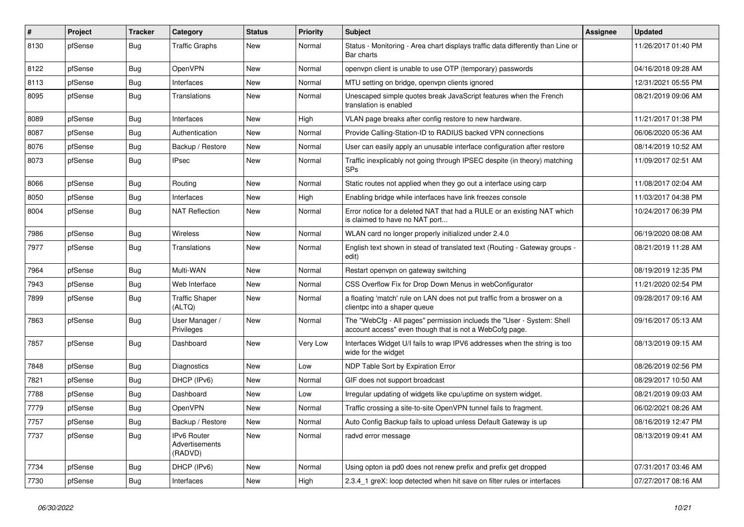| $\sharp$ | Project | <b>Tracker</b> | Category                                 | <b>Status</b> | <b>Priority</b> | <b>Subject</b>                                                                                                                    | <b>Assignee</b> | <b>Updated</b>      |
|----------|---------|----------------|------------------------------------------|---------------|-----------------|-----------------------------------------------------------------------------------------------------------------------------------|-----------------|---------------------|
| 8130     | pfSense | Bug            | <b>Traffic Graphs</b>                    | New           | Normal          | Status - Monitoring - Area chart displays traffic data differently than Line or<br>Bar charts                                     |                 | 11/26/2017 01:40 PM |
| 8122     | pfSense | Bug            | OpenVPN                                  | New           | Normal          | openypn client is unable to use OTP (temporary) passwords                                                                         |                 | 04/16/2018 09:28 AM |
| 8113     | pfSense | Bug            | Interfaces                               | New           | Normal          | MTU setting on bridge, openypn clients ignored                                                                                    |                 | 12/31/2021 05:55 PM |
| 8095     | pfSense | Bug            | Translations                             | New           | Normal          | Unescaped simple quotes break JavaScript features when the French<br>translation is enabled                                       |                 | 08/21/2019 09:06 AM |
| 8089     | pfSense | Bug            | Interfaces                               | New           | High            | VLAN page breaks after config restore to new hardware.                                                                            |                 | 11/21/2017 01:38 PM |
| 8087     | pfSense | Bug            | Authentication                           | <b>New</b>    | Normal          | Provide Calling-Station-ID to RADIUS backed VPN connections                                                                       |                 | 06/06/2020 05:36 AM |
| 8076     | pfSense | Bug            | Backup / Restore                         | <b>New</b>    | Normal          | User can easily apply an unusable interface configuration after restore                                                           |                 | 08/14/2019 10:52 AM |
| 8073     | pfSense | Bug            | <b>IPsec</b>                             | <b>New</b>    | Normal          | Traffic inexplicably not going through IPSEC despite (in theory) matching<br><b>SPs</b>                                           |                 | 11/09/2017 02:51 AM |
| 8066     | pfSense | <b>Bug</b>     | Routing                                  | New           | Normal          | Static routes not applied when they go out a interface using carp                                                                 |                 | 11/08/2017 02:04 AM |
| 8050     | pfSense | <b>Bug</b>     | Interfaces                               | New           | High            | Enabling bridge while interfaces have link freezes console                                                                        |                 | 11/03/2017 04:38 PM |
| 8004     | pfSense | <b>Bug</b>     | <b>NAT Reflection</b>                    | New           | Normal          | Error notice for a deleted NAT that had a RULE or an existing NAT which<br>is claimed to have no NAT port                         |                 | 10/24/2017 06:39 PM |
| 7986     | pfSense | Bug            | <b>Wireless</b>                          | <b>New</b>    | Normal          | WLAN card no longer properly initialized under 2.4.0                                                                              |                 | 06/19/2020 08:08 AM |
| 7977     | pfSense | Bug            | Translations                             | New           | Normal          | English text shown in stead of translated text (Routing - Gateway groups -<br>edit)                                               |                 | 08/21/2019 11:28 AM |
| 7964     | pfSense | Bug            | Multi-WAN                                | New           | Normal          | Restart openvpn on gateway switching                                                                                              |                 | 08/19/2019 12:35 PM |
| 7943     | pfSense | Bug            | Web Interface                            | New           | Normal          | CSS Overflow Fix for Drop Down Menus in webConfigurator                                                                           |                 | 11/21/2020 02:54 PM |
| 7899     | pfSense | Bug            | <b>Traffic Shaper</b><br>(ALTQ)          | New           | Normal          | a floating 'match' rule on LAN does not put traffic from a broswer on a<br>clientpc into a shaper queue                           |                 | 09/28/2017 09:16 AM |
| 7863     | pfSense | Bug            | User Manager /<br>Privileges             | <b>New</b>    | Normal          | The "WebCfg - All pages" permission inclueds the "User - System: Shell<br>account access" even though that is not a WebCofg page. |                 | 09/16/2017 05:13 AM |
| 7857     | pfSense | <b>Bug</b>     | Dashboard                                | New           | Very Low        | Interfaces Widget U/I fails to wrap IPV6 addresses when the string is too<br>wide for the widget                                  |                 | 08/13/2019 09:15 AM |
| 7848     | pfSense | <b>Bug</b>     | Diagnostics                              | New           | Low             | NDP Table Sort by Expiration Error                                                                                                |                 | 08/26/2019 02:56 PM |
| 7821     | pfSense | Bug            | DHCP (IPv6)                              | New           | Normal          | GIF does not support broadcast                                                                                                    |                 | 08/29/2017 10:50 AM |
| 7788     | pfSense | Bug            | Dashboard                                | New           | Low             | Irregular updating of widgets like cpu/uptime on system widget.                                                                   |                 | 08/21/2019 09:03 AM |
| 7779     | pfSense | Bug            | OpenVPN                                  | <b>New</b>    | Normal          | Traffic crossing a site-to-site OpenVPN tunnel fails to fragment.                                                                 |                 | 06/02/2021 08:26 AM |
| 7757     | pfSense | Bug            | Backup / Restore                         | New           | Normal          | Auto Config Backup fails to upload unless Default Gateway is up                                                                   |                 | 08/16/2019 12:47 PM |
| 7737     | pfSense | <b>Bug</b>     | IPv6 Router<br>Advertisements<br>(RADVD) | <b>New</b>    | Normal          | radvd error message                                                                                                               |                 | 08/13/2019 09:41 AM |
| 7734     | pfSense | Bug            | DHCP (IPv6)                              | <b>New</b>    | Normal          | Using opton ia pd0 does not renew prefix and prefix get dropped                                                                   |                 | 07/31/2017 03:46 AM |
| 7730     | pfSense | Bug            | Interfaces                               | <b>New</b>    | High            | 2.3.4 1 greX: loop detected when hit save on filter rules or interfaces                                                           |                 | 07/27/2017 08:16 AM |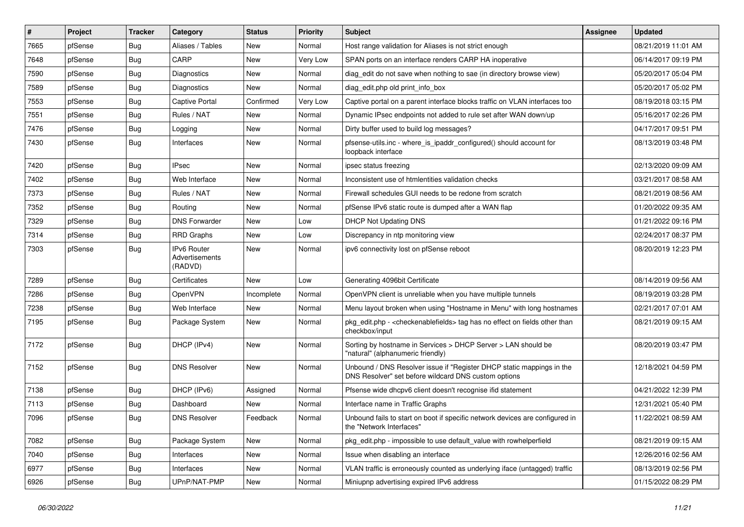| $\vert$ # | Project | <b>Tracker</b> | Category                                 | <b>Status</b> | <b>Priority</b> | Subject                                                                                                                       | Assignee | <b>Updated</b>      |
|-----------|---------|----------------|------------------------------------------|---------------|-----------------|-------------------------------------------------------------------------------------------------------------------------------|----------|---------------------|
| 7665      | pfSense | <b>Bug</b>     | Aliases / Tables                         | New           | Normal          | Host range validation for Aliases is not strict enough                                                                        |          | 08/21/2019 11:01 AM |
| 7648      | pfSense | Bug            | CARP                                     | New           | Very Low        | SPAN ports on an interface renders CARP HA inoperative                                                                        |          | 06/14/2017 09:19 PM |
| 7590      | pfSense | <b>Bug</b>     | Diagnostics                              | New           | Normal          | diag edit do not save when nothing to sae (in directory browse view)                                                          |          | 05/20/2017 05:04 PM |
| 7589      | pfSense | <b>Bug</b>     | Diagnostics                              | New           | Normal          | diag_edit.php old print_info_box                                                                                              |          | 05/20/2017 05:02 PM |
| 7553      | pfSense | Bug            | <b>Captive Portal</b>                    | Confirmed     | Very Low        | Captive portal on a parent interface blocks traffic on VLAN interfaces too                                                    |          | 08/19/2018 03:15 PM |
| 7551      | pfSense | <b>Bug</b>     | Rules / NAT                              | New           | Normal          | Dynamic IPsec endpoints not added to rule set after WAN down/up                                                               |          | 05/16/2017 02:26 PM |
| 7476      | pfSense | <b>Bug</b>     | Logging                                  | New           | Normal          | Dirty buffer used to build log messages?                                                                                      |          | 04/17/2017 09:51 PM |
| 7430      | pfSense | Bug            | Interfaces                               | New           | Normal          | pfsense-utils.inc - where_is_ipaddr_configured() should account for<br>loopback interface                                     |          | 08/13/2019 03:48 PM |
| 7420      | pfSense | <b>Bug</b>     | <b>IPsec</b>                             | <b>New</b>    | Normal          | ipsec status freezing                                                                                                         |          | 02/13/2020 09:09 AM |
| 7402      | pfSense | <b>Bug</b>     | Web Interface                            | New           | Normal          | Inconsistent use of htmlentities validation checks                                                                            |          | 03/21/2017 08:58 AM |
| 7373      | pfSense | <b>Bug</b>     | Rules / NAT                              | New           | Normal          | Firewall schedules GUI needs to be redone from scratch                                                                        |          | 08/21/2019 08:56 AM |
| 7352      | pfSense | Bug            | Routing                                  | <b>New</b>    | Normal          | pfSense IPv6 static route is dumped after a WAN flap                                                                          |          | 01/20/2022 09:35 AM |
| 7329      | pfSense | <b>Bug</b>     | <b>DNS Forwarder</b>                     | New           | Low             | <b>DHCP Not Updating DNS</b>                                                                                                  |          | 01/21/2022 09:16 PM |
| 7314      | pfSense | <b>Bug</b>     | <b>RRD Graphs</b>                        | New           | Low             | Discrepancy in ntp monitoring view                                                                                            |          | 02/24/2017 08:37 PM |
| 7303      | pfSense | <b>Bug</b>     | IPv6 Router<br>Advertisements<br>(RADVD) | New           | Normal          | ipv6 connectivity lost on pfSense reboot                                                                                      |          | 08/20/2019 12:23 PM |
| 7289      | pfSense | <b>Bug</b>     | Certificates                             | New           | Low             | Generating 4096bit Certificate                                                                                                |          | 08/14/2019 09:56 AM |
| 7286      | pfSense | <b>Bug</b>     | OpenVPN                                  | Incomplete    | Normal          | OpenVPN client is unreliable when you have multiple tunnels                                                                   |          | 08/19/2019 03:28 PM |
| 7238      | pfSense | Bug            | Web Interface                            | <b>New</b>    | Normal          | Menu layout broken when using "Hostname in Menu" with long hostnames                                                          |          | 02/21/2017 07:01 AM |
| 7195      | pfSense | Bug            | Package System                           | New           | Normal          | pkg edit.php - <checkenable fields=""> tag has no effect on fields other than<br/>checkbox/input</checkenable>                |          | 08/21/2019 09:15 AM |
| 7172      | pfSense | Bug            | DHCP (IPv4)                              | <b>New</b>    | Normal          | Sorting by hostname in Services > DHCP Server > LAN should be<br>"natural" (alphanumeric friendly)                            |          | 08/20/2019 03:47 PM |
| 7152      | pfSense | Bug            | <b>DNS Resolver</b>                      | <b>New</b>    | Normal          | Unbound / DNS Resolver issue if "Register DHCP static mappings in the<br>DNS Resolver" set before wildcard DNS custom options |          | 12/18/2021 04:59 PM |
| 7138      | pfSense | <b>Bug</b>     | DHCP (IPv6)                              | Assigned      | Normal          | Pfsense wide dhcpv6 client doesn't recognise ifid statement                                                                   |          | 04/21/2022 12:39 PM |
| 7113      | pfSense | Bug            | Dashboard                                | New           | Normal          | Interface name in Traffic Graphs                                                                                              |          | 12/31/2021 05:40 PM |
| 7096      | pfSense | Bug            | <b>DNS Resolver</b>                      | Feedback      | Normal          | Unbound fails to start on boot if specific network devices are configured in<br>the "Network Interfaces"                      |          | 11/22/2021 08:59 AM |
| 7082      | pfSense | Bug            | Package System                           | New           | Normal          | pkg_edit.php - impossible to use default_value with rowhelperfield                                                            |          | 08/21/2019 09:15 AM |
| 7040      | pfSense | <b>Bug</b>     | Interfaces                               | New           | Normal          | Issue when disabling an interface                                                                                             |          | 12/26/2016 02:56 AM |
| 6977      | pfSense | Bug            | Interfaces                               | New           | Normal          | VLAN traffic is erroneously counted as underlying iface (untagged) traffic                                                    |          | 08/13/2019 02:56 PM |
| 6926      | pfSense | Bug            | UPnP/NAT-PMP                             | New           | Normal          | Miniupnp advertising expired IPv6 address                                                                                     |          | 01/15/2022 08:29 PM |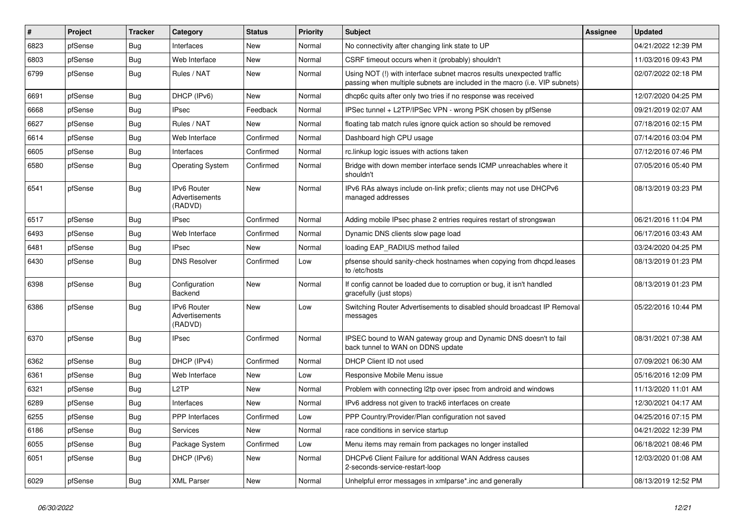| $\vert$ # | Project | <b>Tracker</b> | Category                                 | <b>Status</b> | <b>Priority</b> | Subject                                                                                                                                             | <b>Assignee</b> | <b>Updated</b>      |
|-----------|---------|----------------|------------------------------------------|---------------|-----------------|-----------------------------------------------------------------------------------------------------------------------------------------------------|-----------------|---------------------|
| 6823      | pfSense | <b>Bug</b>     | Interfaces                               | New           | Normal          | No connectivity after changing link state to UP                                                                                                     |                 | 04/21/2022 12:39 PM |
| 6803      | pfSense | Bug            | Web Interface                            | <b>New</b>    | Normal          | CSRF timeout occurs when it (probably) shouldn't                                                                                                    |                 | 11/03/2016 09:43 PM |
| 6799      | pfSense | Bug            | Rules / NAT                              | New           | Normal          | Using NOT (!) with interface subnet macros results unexpected traffic<br>passing when multiple subnets are included in the macro (i.e. VIP subnets) |                 | 02/07/2022 02:18 PM |
| 6691      | pfSense | <b>Bug</b>     | DHCP (IPv6)                              | <b>New</b>    | Normal          | dhcp6c quits after only two tries if no response was received                                                                                       |                 | 12/07/2020 04:25 PM |
| 6668      | pfSense | Bug            | <b>IPsec</b>                             | Feedback      | Normal          | IPSec tunnel + L2TP/IPSec VPN - wrong PSK chosen by pfSense                                                                                         |                 | 09/21/2019 02:07 AM |
| 6627      | pfSense | <b>Bug</b>     | Rules / NAT                              | New           | Normal          | floating tab match rules ignore quick action so should be removed                                                                                   |                 | 07/18/2016 02:15 PM |
| 6614      | pfSense | Bug            | Web Interface                            | Confirmed     | Normal          | Dashboard high CPU usage                                                                                                                            |                 | 07/14/2016 03:04 PM |
| 6605      | pfSense | Bug            | Interfaces                               | Confirmed     | Normal          | rc.linkup logic issues with actions taken                                                                                                           |                 | 07/12/2016 07:46 PM |
| 6580      | pfSense | Bug            | <b>Operating System</b>                  | Confirmed     | Normal          | Bridge with down member interface sends ICMP unreachables where it<br>shouldn't                                                                     |                 | 07/05/2016 05:40 PM |
| 6541      | pfSense | Bug            | IPv6 Router<br>Advertisements<br>(RADVD) | New           | Normal          | IPv6 RAs always include on-link prefix; clients may not use DHCPv6<br>managed addresses                                                             |                 | 08/13/2019 03:23 PM |
| 6517      | pfSense | <b>Bug</b>     | <b>IPsec</b>                             | Confirmed     | Normal          | Adding mobile IPsec phase 2 entries requires restart of strongswan                                                                                  |                 | 06/21/2016 11:04 PM |
| 6493      | pfSense | <b>Bug</b>     | Web Interface                            | Confirmed     | Normal          | Dynamic DNS clients slow page load                                                                                                                  |                 | 06/17/2016 03:43 AM |
| 6481      | pfSense | <b>Bug</b>     | <b>IPsec</b>                             | New           | Normal          | loading EAP_RADIUS method failed                                                                                                                    |                 | 03/24/2020 04:25 PM |
| 6430      | pfSense | Bug            | <b>DNS Resolver</b>                      | Confirmed     | Low             | pfsense should sanity-check hostnames when copying from dhcpd.leases<br>to /etc/hosts                                                               |                 | 08/13/2019 01:23 PM |
| 6398      | pfSense | Bug            | Configuration<br>Backend                 | <b>New</b>    | Normal          | If config cannot be loaded due to corruption or bug, it isn't handled<br>gracefully (just stops)                                                    |                 | 08/13/2019 01:23 PM |
| 6386      | pfSense | Bug            | IPv6 Router<br>Advertisements<br>(RADVD) | New           | Low             | Switching Router Advertisements to disabled should broadcast IP Removal<br>messages                                                                 |                 | 05/22/2016 10:44 PM |
| 6370      | pfSense | Bug            | <b>IPsec</b>                             | Confirmed     | Normal          | IPSEC bound to WAN gateway group and Dynamic DNS doesn't to fail<br>back tunnel to WAN on DDNS update                                               |                 | 08/31/2021 07:38 AM |
| 6362      | pfSense | Bug            | DHCP (IPv4)                              | Confirmed     | Normal          | DHCP Client ID not used                                                                                                                             |                 | 07/09/2021 06:30 AM |
| 6361      | pfSense | Bug            | Web Interface                            | New           | Low             | Responsive Mobile Menu issue                                                                                                                        |                 | 05/16/2016 12:09 PM |
| 6321      | pfSense | <b>Bug</b>     | L <sub>2</sub> TP                        | <b>New</b>    | Normal          | Problem with connecting I2tp over ipsec from android and windows                                                                                    |                 | 11/13/2020 11:01 AM |
| 6289      | pfSense | <b>Bug</b>     | Interfaces                               | New           | Normal          | IPv6 address not given to track6 interfaces on create                                                                                               |                 | 12/30/2021 04:17 AM |
| 6255      | pfSense | Bug            | <b>PPP</b> Interfaces                    | Confirmed     | Low             | PPP Country/Provider/Plan configuration not saved                                                                                                   |                 | 04/25/2016 07:15 PM |
| 6186      | pfSense | Bug            | Services                                 | New           | Normal          | race conditions in service startup                                                                                                                  |                 | 04/21/2022 12:39 PM |
| 6055      | pfSense | <b>Bug</b>     | Package System                           | Confirmed     | Low             | Menu items may remain from packages no longer installed                                                                                             |                 | 06/18/2021 08:46 PM |
| 6051      | pfSense | Bug            | DHCP (IPv6)                              | New           | Normal          | DHCPv6 Client Failure for additional WAN Address causes<br>2-seconds-service-restart-loop                                                           |                 | 12/03/2020 01:08 AM |
| 6029      | pfSense | <b>Bug</b>     | <b>XML Parser</b>                        | New           | Normal          | Unhelpful error messages in xmlparse*.inc and generally                                                                                             |                 | 08/13/2019 12:52 PM |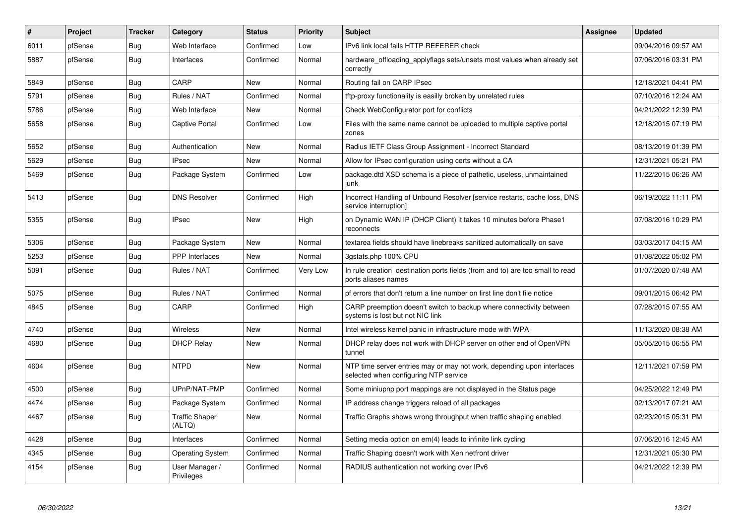| #    | Project | <b>Tracker</b> | Category                        | <b>Status</b> | <b>Priority</b> | <b>Subject</b>                                                                                                  | <b>Assignee</b> | <b>Updated</b>      |
|------|---------|----------------|---------------------------------|---------------|-----------------|-----------------------------------------------------------------------------------------------------------------|-----------------|---------------------|
| 6011 | pfSense | Bug            | Web Interface                   | Confirmed     | Low             | IPv6 link local fails HTTP REFERER check                                                                        |                 | 09/04/2016 09:57 AM |
| 5887 | pfSense | Bug            | Interfaces                      | Confirmed     | Normal          | hardware offloading applyflags sets/unsets most values when already set<br>correctly                            |                 | 07/06/2016 03:31 PM |
| 5849 | pfSense | Bug            | CARP                            | <b>New</b>    | Normal          | Routing fail on CARP IPsec                                                                                      |                 | 12/18/2021 04:41 PM |
| 5791 | pfSense | Bug            | Rules / NAT                     | Confirmed     | Normal          | tftp-proxy functionality is easilly broken by unrelated rules                                                   |                 | 07/10/2016 12:24 AM |
| 5786 | pfSense | Bug            | Web Interface                   | New           | Normal          | Check WebConfigurator port for conflicts                                                                        |                 | 04/21/2022 12:39 PM |
| 5658 | pfSense | <b>Bug</b>     | <b>Captive Portal</b>           | Confirmed     | Low             | Files with the same name cannot be uploaded to multiple captive portal<br>zones                                 |                 | 12/18/2015 07:19 PM |
| 5652 | pfSense | Bug            | Authentication                  | New           | Normal          | Radius IETF Class Group Assignment - Incorrect Standard                                                         |                 | 08/13/2019 01:39 PM |
| 5629 | pfSense | <b>Bug</b>     | <b>IPsec</b>                    | <b>New</b>    | Normal          | Allow for IPsec configuration using certs without a CA                                                          |                 | 12/31/2021 05:21 PM |
| 5469 | pfSense | Bug            | Package System                  | Confirmed     | Low             | package.dtd XSD schema is a piece of pathetic, useless, unmaintained<br>junk                                    |                 | 11/22/2015 06:26 AM |
| 5413 | pfSense | <b>Bug</b>     | <b>DNS Resolver</b>             | Confirmed     | High            | Incorrect Handling of Unbound Resolver [service restarts, cache loss, DNS<br>service interruption]              |                 | 06/19/2022 11:11 PM |
| 5355 | pfSense | Bug            | <b>IPsec</b>                    | <b>New</b>    | High            | on Dynamic WAN IP (DHCP Client) it takes 10 minutes before Phase1<br>reconnects                                 |                 | 07/08/2016 10:29 PM |
| 5306 | pfSense | Bug            | Package System                  | New           | Normal          | textarea fields should have linebreaks sanitized automatically on save                                          |                 | 03/03/2017 04:15 AM |
| 5253 | pfSense | <b>Bug</b>     | <b>PPP</b> Interfaces           | <b>New</b>    | Normal          | 3gstats.php 100% CPU                                                                                            |                 | 01/08/2022 05:02 PM |
| 5091 | pfSense | Bug            | Rules / NAT                     | Confirmed     | Very Low        | In rule creation destination ports fields (from and to) are too small to read<br>ports aliases names            |                 | 01/07/2020 07:48 AM |
| 5075 | pfSense | <b>Bug</b>     | Rules / NAT                     | Confirmed     | Normal          | pf errors that don't return a line number on first line don't file notice                                       |                 | 09/01/2015 06:42 PM |
| 4845 | pfSense | Bug            | CARP                            | Confirmed     | High            | CARP preemption doesn't switch to backup where connectivity between<br>systems is lost but not NIC link         |                 | 07/28/2015 07:55 AM |
| 4740 | pfSense | Bug            | <b>Wireless</b>                 | <b>New</b>    | Normal          | Intel wireless kernel panic in infrastructure mode with WPA                                                     |                 | 11/13/2020 08:38 AM |
| 4680 | pfSense | Bug            | <b>DHCP Relay</b>               | New           | Normal          | DHCP relay does not work with DHCP server on other end of OpenVPN<br>tunnel                                     |                 | 05/05/2015 06:55 PM |
| 4604 | pfSense | Bug            | <b>NTPD</b>                     | <b>New</b>    | Normal          | NTP time server entries may or may not work, depending upon interfaces<br>selected when configuring NTP service |                 | 12/11/2021 07:59 PM |
| 4500 | pfSense | <b>Bug</b>     | UPnP/NAT-PMP                    | Confirmed     | Normal          | Some miniupnp port mappings are not displayed in the Status page                                                |                 | 04/25/2022 12:49 PM |
| 4474 | pfSense | Bug            | Package System                  | Confirmed     | Normal          | IP address change triggers reload of all packages                                                               |                 | 02/13/2017 07:21 AM |
| 4467 | pfSense | <b>Bug</b>     | <b>Traffic Shaper</b><br>(ALTQ) | <b>New</b>    | Normal          | Traffic Graphs shows wrong throughput when traffic shaping enabled                                              |                 | 02/23/2015 05:31 PM |
| 4428 | pfSense | Bug            | Interfaces                      | Confirmed     | Normal          | Setting media option on em(4) leads to infinite link cycling                                                    |                 | 07/06/2016 12:45 AM |
| 4345 | pfSense | <b>Bug</b>     | <b>Operating System</b>         | Confirmed     | Normal          | Traffic Shaping doesn't work with Xen netfront driver                                                           |                 | 12/31/2021 05:30 PM |
| 4154 | pfSense | Bug            | User Manager /<br>Privileges    | Confirmed     | Normal          | RADIUS authentication not working over IPv6                                                                     |                 | 04/21/2022 12:39 PM |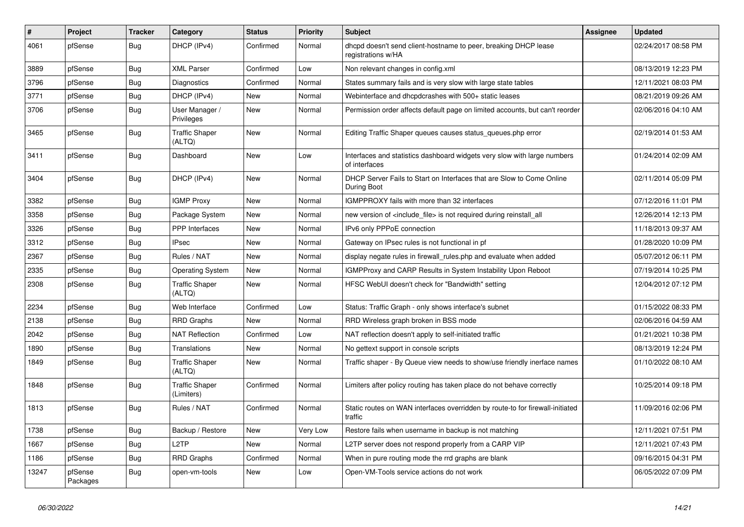| $\sharp$ | Project             | <b>Tracker</b> | Category                            | <b>Status</b> | Priority | <b>Subject</b>                                                                            | <b>Assignee</b> | <b>Updated</b>      |
|----------|---------------------|----------------|-------------------------------------|---------------|----------|-------------------------------------------------------------------------------------------|-----------------|---------------------|
| 4061     | pfSense             | Bug            | DHCP (IPv4)                         | Confirmed     | Normal   | dhcpd doesn't send client-hostname to peer, breaking DHCP lease<br>registrations w/HA     |                 | 02/24/2017 08:58 PM |
| 3889     | pfSense             | Bug            | <b>XML Parser</b>                   | Confirmed     | Low      | Non relevant changes in config.xml                                                        |                 | 08/13/2019 12:23 PM |
| 3796     | pfSense             | <b>Bug</b>     | Diagnostics                         | Confirmed     | Normal   | States summary fails and is very slow with large state tables                             |                 | 12/11/2021 08:03 PM |
| 3771     | pfSense             | Bug            | DHCP (IPv4)                         | <b>New</b>    | Normal   | Webinterface and dhcpdcrashes with 500+ static leases                                     |                 | 08/21/2019 09:26 AM |
| 3706     | pfSense             | <b>Bug</b>     | User Manager /<br>Privileges        | New           | Normal   | Permission order affects default page on limited accounts, but can't reorder              |                 | 02/06/2016 04:10 AM |
| 3465     | pfSense             | Bug            | <b>Traffic Shaper</b><br>(ALTQ)     | New           | Normal   | Editing Traffic Shaper queues causes status_queues.php error                              |                 | 02/19/2014 01:53 AM |
| 3411     | pfSense             | <b>Bug</b>     | Dashboard                           | New           | Low      | Interfaces and statistics dashboard widgets very slow with large numbers<br>of interfaces |                 | 01/24/2014 02:09 AM |
| 3404     | pfSense             | <b>Bug</b>     | DHCP (IPv4)                         | New           | Normal   | DHCP Server Fails to Start on Interfaces that are Slow to Come Online<br>During Boot      |                 | 02/11/2014 05:09 PM |
| 3382     | pfSense             | Bug            | <b>IGMP Proxy</b>                   | <b>New</b>    | Normal   | IGMPPROXY fails with more than 32 interfaces                                              |                 | 07/12/2016 11:01 PM |
| 3358     | pfSense             | <b>Bug</b>     | Package System                      | <b>New</b>    | Normal   | new version of <include_file> is not required during reinstall_all</include_file>         |                 | 12/26/2014 12:13 PM |
| 3326     | pfSense             | <b>Bug</b>     | <b>PPP</b> Interfaces               | New           | Normal   | IPv6 only PPPoE connection                                                                |                 | 11/18/2013 09:37 AM |
| 3312     | pfSense             | <b>Bug</b>     | <b>IPsec</b>                        | New           | Normal   | Gateway on IPsec rules is not functional in pf                                            |                 | 01/28/2020 10:09 PM |
| 2367     | pfSense             | Bug            | Rules / NAT                         | <b>New</b>    | Normal   | display negate rules in firewall_rules.php and evaluate when added                        |                 | 05/07/2012 06:11 PM |
| 2335     | pfSense             | <b>Bug</b>     | <b>Operating System</b>             | <b>New</b>    | Normal   | IGMPProxy and CARP Results in System Instability Upon Reboot                              |                 | 07/19/2014 10:25 PM |
| 2308     | pfSense             | Bug            | <b>Traffic Shaper</b><br>(ALTQ)     | <b>New</b>    | Normal   | HFSC WebUI doesn't check for "Bandwidth" setting                                          |                 | 12/04/2012 07:12 PM |
| 2234     | pfSense             | Bug            | Web Interface                       | Confirmed     | Low      | Status: Traffic Graph - only shows interface's subnet                                     |                 | 01/15/2022 08:33 PM |
| 2138     | pfSense             | Bug            | RRD Graphs                          | New           | Normal   | RRD Wireless graph broken in BSS mode                                                     |                 | 02/06/2016 04:59 AM |
| 2042     | pfSense             | <b>Bug</b>     | <b>NAT Reflection</b>               | Confirmed     | Low      | NAT reflection doesn't apply to self-initiated traffic                                    |                 | 01/21/2021 10:38 PM |
| 1890     | pfSense             | <b>Bug</b>     | Translations                        | <b>New</b>    | Normal   | No gettext support in console scripts                                                     |                 | 08/13/2019 12:24 PM |
| 1849     | pfSense             | Bug            | <b>Traffic Shaper</b><br>(ALTQ)     | New           | Normal   | Traffic shaper - By Queue view needs to show/use friendly inerface names                  |                 | 01/10/2022 08:10 AM |
| 1848     | pfSense             | <b>Bug</b>     | <b>Traffic Shaper</b><br>(Limiters) | Confirmed     | Normal   | Limiters after policy routing has taken place do not behave correctly                     |                 | 10/25/2014 09:18 PM |
| 1813     | pfSense             | <b>Bug</b>     | Rules / NAT                         | Confirmed     | Normal   | Static routes on WAN interfaces overridden by route-to for firewall-initiated<br>traffic  |                 | 11/09/2016 02:06 PM |
| 1738     | pfSense             | Bug            | Backup / Restore                    | New           | Very Low | Restore fails when username in backup is not matching                                     |                 | 12/11/2021 07:51 PM |
| 1667     | pfSense             | <b>Bug</b>     | L <sub>2</sub> TP                   | <b>New</b>    | Normal   | L2TP server does not respond properly from a CARP VIP                                     |                 | 12/11/2021 07:43 PM |
| 1186     | pfSense             | Bug            | <b>RRD Graphs</b>                   | Confirmed     | Normal   | When in pure routing mode the rrd graphs are blank                                        |                 | 09/16/2015 04:31 PM |
| 13247    | pfSense<br>Packages | <b>Bug</b>     | open-vm-tools                       | <b>New</b>    | Low      | Open-VM-Tools service actions do not work                                                 |                 | 06/05/2022 07:09 PM |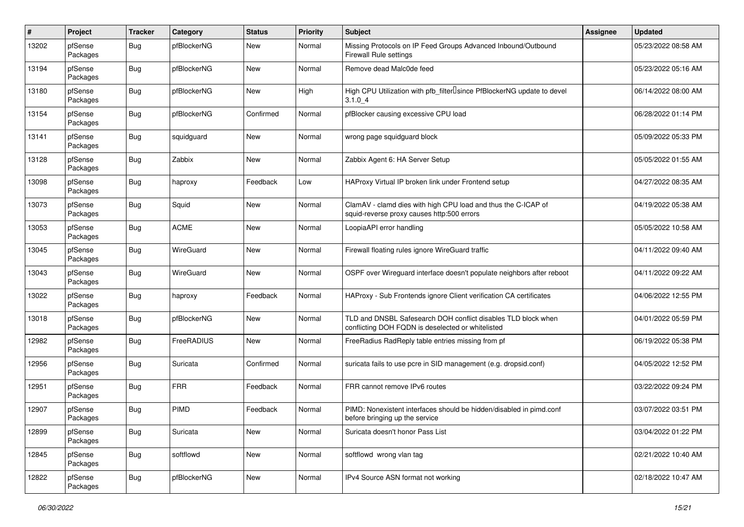| $\pmb{\#}$ | Project             | <b>Tracker</b> | Category    | <b>Status</b> | <b>Priority</b> | Subject                                                                                                            | <b>Assignee</b> | <b>Updated</b>      |
|------------|---------------------|----------------|-------------|---------------|-----------------|--------------------------------------------------------------------------------------------------------------------|-----------------|---------------------|
| 13202      | pfSense<br>Packages | Bug            | pfBlockerNG | New           | Normal          | Missing Protocols on IP Feed Groups Advanced Inbound/Outbound<br>Firewall Rule settings                            |                 | 05/23/2022 08:58 AM |
| 13194      | pfSense<br>Packages | Bug            | pfBlockerNG | New           | Normal          | Remove dead Malc0de feed                                                                                           |                 | 05/23/2022 05:16 AM |
| 13180      | pfSense<br>Packages | Bug            | pfBlockerNG | New           | High            | High CPU Utilization with pfb_filterLsince PfBlockerNG update to devel<br>3.1.04                                   |                 | 06/14/2022 08:00 AM |
| 13154      | pfSense<br>Packages | <b>Bug</b>     | pfBlockerNG | Confirmed     | Normal          | pfBlocker causing excessive CPU load                                                                               |                 | 06/28/2022 01:14 PM |
| 13141      | pfSense<br>Packages | Bug            | squidguard  | New           | Normal          | wrong page squidguard block                                                                                        |                 | 05/09/2022 05:33 PM |
| 13128      | pfSense<br>Packages | <b>Bug</b>     | Zabbix      | New           | Normal          | Zabbix Agent 6: HA Server Setup                                                                                    |                 | 05/05/2022 01:55 AM |
| 13098      | pfSense<br>Packages | Bug            | haproxy     | Feedback      | Low             | HAProxy Virtual IP broken link under Frontend setup                                                                |                 | 04/27/2022 08:35 AM |
| 13073      | pfSense<br>Packages | Bug            | Squid       | New           | Normal          | ClamAV - clamd dies with high CPU load and thus the C-ICAP of<br>squid-reverse proxy causes http:500 errors        |                 | 04/19/2022 05:38 AM |
| 13053      | pfSense<br>Packages | Bug            | <b>ACME</b> | New           | Normal          | LoopiaAPI error handling                                                                                           |                 | 05/05/2022 10:58 AM |
| 13045      | pfSense<br>Packages | Bug            | WireGuard   | New           | Normal          | Firewall floating rules ignore WireGuard traffic                                                                   |                 | 04/11/2022 09:40 AM |
| 13043      | pfSense<br>Packages | Bug            | WireGuard   | New           | Normal          | OSPF over Wireguard interface doesn't populate neighbors after reboot                                              |                 | 04/11/2022 09:22 AM |
| 13022      | pfSense<br>Packages | Bug            | haproxy     | Feedback      | Normal          | HAProxy - Sub Frontends ignore Client verification CA certificates                                                 |                 | 04/06/2022 12:55 PM |
| 13018      | pfSense<br>Packages | Bug            | pfBlockerNG | New           | Normal          | TLD and DNSBL Safesearch DOH conflict disables TLD block when<br>conflicting DOH FQDN is deselected or whitelisted |                 | 04/01/2022 05:59 PM |
| 12982      | pfSense<br>Packages | Bug            | FreeRADIUS  | New           | Normal          | FreeRadius RadReply table entries missing from pf                                                                  |                 | 06/19/2022 05:38 PM |
| 12956      | pfSense<br>Packages | Bug            | Suricata    | Confirmed     | Normal          | suricata fails to use pcre in SID management (e.g. dropsid.conf)                                                   |                 | 04/05/2022 12:52 PM |
| 12951      | pfSense<br>Packages | Bug            | <b>FRR</b>  | Feedback      | Normal          | FRR cannot remove IPv6 routes                                                                                      |                 | 03/22/2022 09:24 PM |
| 12907      | pfSense<br>Packages | <b>Bug</b>     | PIMD        | Feedback      | Normal          | PIMD: Nonexistent interfaces should be hidden/disabled in pimd.conf<br>before bringing up the service              |                 | 03/07/2022 03:51 PM |
| 12899      | pfSense<br>Packages | <b>Bug</b>     | Suricata    | New           | Normal          | Suricata doesn't honor Pass List                                                                                   |                 | 03/04/2022 01:22 PM |
| 12845      | pfSense<br>Packages | Bug            | softflowd   | New           | Normal          | softflowd wrong vlan tag                                                                                           |                 | 02/21/2022 10:40 AM |
| 12822      | pfSense<br>Packages | Bug            | pfBlockerNG | New           | Normal          | IPv4 Source ASN format not working                                                                                 |                 | 02/18/2022 10:47 AM |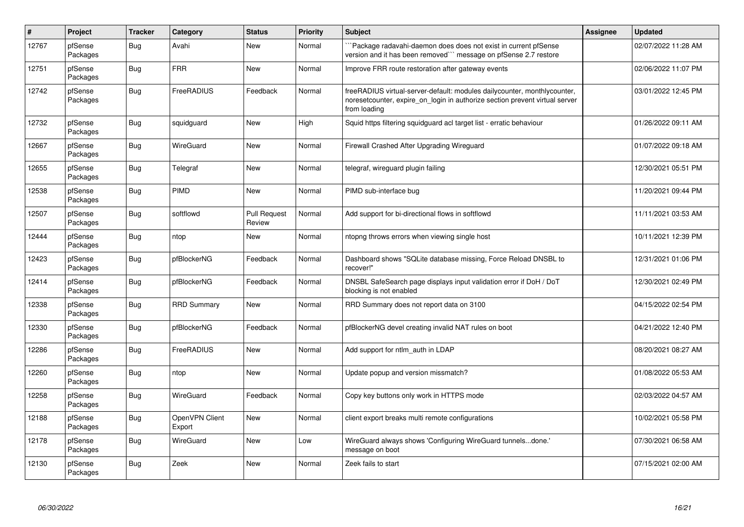| $\vert$ # | Project             | <b>Tracker</b> | Category                 | <b>Status</b>                 | <b>Priority</b> | Subject                                                                                                                                                                 | Assignee | <b>Updated</b>      |
|-----------|---------------------|----------------|--------------------------|-------------------------------|-----------------|-------------------------------------------------------------------------------------------------------------------------------------------------------------------------|----------|---------------------|
| 12767     | pfSense<br>Packages | Bug            | Avahi                    | New                           | Normal          | Package radavahi-daemon does does not exist in current pfSense<br>version and it has been removed" message on pfSense 2.7 restore                                       |          | 02/07/2022 11:28 AM |
| 12751     | pfSense<br>Packages | <b>Bug</b>     | <b>FRR</b>               | New                           | Normal          | Improve FRR route restoration after gateway events                                                                                                                      |          | 02/06/2022 11:07 PM |
| 12742     | pfSense<br>Packages | <b>Bug</b>     | FreeRADIUS               | Feedback                      | Normal          | freeRADIUS virtual-server-default: modules dailycounter, monthlycounter,<br>noresetcounter, expire on login in authorize section prevent virtual server<br>from loading |          | 03/01/2022 12:45 PM |
| 12732     | pfSense<br>Packages | <b>Bug</b>     | squidguard               | <b>New</b>                    | High            | Squid https filtering squidguard acl target list - erratic behaviour                                                                                                    |          | 01/26/2022 09:11 AM |
| 12667     | pfSense<br>Packages | Bug            | WireGuard                | <b>New</b>                    | Normal          | Firewall Crashed After Upgrading Wireguard                                                                                                                              |          | 01/07/2022 09:18 AM |
| 12655     | pfSense<br>Packages | Bug            | Telegraf                 | New                           | Normal          | telegraf, wireguard plugin failing                                                                                                                                      |          | 12/30/2021 05:51 PM |
| 12538     | pfSense<br>Packages | <b>Bug</b>     | PIMD                     | <b>New</b>                    | Normal          | PIMD sub-interface bug                                                                                                                                                  |          | 11/20/2021 09:44 PM |
| 12507     | pfSense<br>Packages | Bug            | softflowd                | <b>Pull Request</b><br>Review | Normal          | Add support for bi-directional flows in softflowd                                                                                                                       |          | 11/11/2021 03:53 AM |
| 12444     | pfSense<br>Packages | <b>Bug</b>     | ntop                     | New                           | Normal          | ntopng throws errors when viewing single host                                                                                                                           |          | 10/11/2021 12:39 PM |
| 12423     | pfSense<br>Packages | <b>Bug</b>     | pfBlockerNG              | Feedback                      | Normal          | Dashboard shows "SQLite database missing, Force Reload DNSBL to<br>recover!"                                                                                            |          | 12/31/2021 01:06 PM |
| 12414     | pfSense<br>Packages | <b>Bug</b>     | pfBlockerNG              | Feedback                      | Normal          | DNSBL SafeSearch page displays input validation error if DoH / DoT<br>blocking is not enabled                                                                           |          | 12/30/2021 02:49 PM |
| 12338     | pfSense<br>Packages | <b>Bug</b>     | <b>RRD Summary</b>       | New                           | Normal          | RRD Summary does not report data on 3100                                                                                                                                |          | 04/15/2022 02:54 PM |
| 12330     | pfSense<br>Packages | <b>Bug</b>     | pfBlockerNG              | Feedback                      | Normal          | pfBlockerNG devel creating invalid NAT rules on boot                                                                                                                    |          | 04/21/2022 12:40 PM |
| 12286     | pfSense<br>Packages | Bug            | FreeRADIUS               | <b>New</b>                    | Normal          | Add support for ntlm auth in LDAP                                                                                                                                       |          | 08/20/2021 08:27 AM |
| 12260     | pfSense<br>Packages | Bug            | ntop                     | New                           | Normal          | Update popup and version missmatch?                                                                                                                                     |          | 01/08/2022 05:53 AM |
| 12258     | pfSense<br>Packages | <b>Bug</b>     | WireGuard                | Feedback                      | Normal          | Copy key buttons only work in HTTPS mode                                                                                                                                |          | 02/03/2022 04:57 AM |
| 12188     | pfSense<br>Packages | Bug            | OpenVPN Client<br>Export | New                           | Normal          | client export breaks multi remote configurations                                                                                                                        |          | 10/02/2021 05:58 PM |
| 12178     | pfSense<br>Packages | Bug            | WireGuard                | <b>New</b>                    | Low             | WireGuard always shows 'Configuring WireGuard tunnelsdone.'<br>message on boot                                                                                          |          | 07/30/2021 06:58 AM |
| 12130     | pfSense<br>Packages | Bug            | Zeek                     | New                           | Normal          | Zeek fails to start                                                                                                                                                     |          | 07/15/2021 02:00 AM |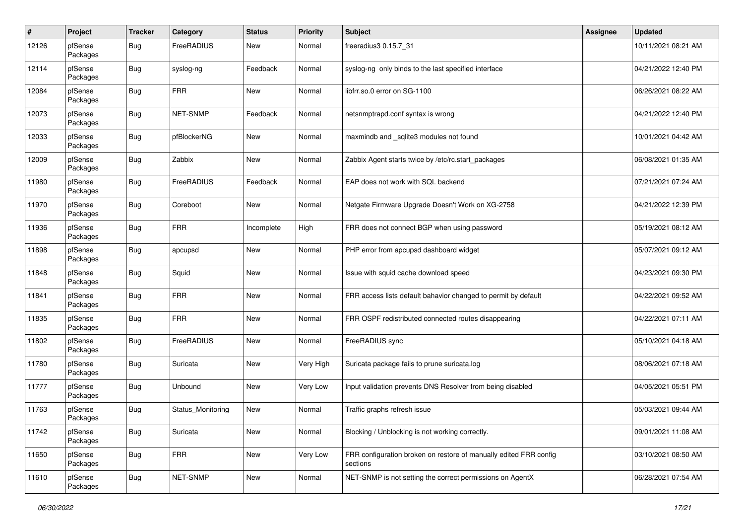| $\pmb{\#}$ | Project             | <b>Tracker</b> | Category          | <b>Status</b> | <b>Priority</b> | <b>Subject</b>                                                                | Assignee | <b>Updated</b>      |
|------------|---------------------|----------------|-------------------|---------------|-----------------|-------------------------------------------------------------------------------|----------|---------------------|
| 12126      | pfSense<br>Packages | Bug            | FreeRADIUS        | New           | Normal          | freeradius3 0.15.7_31                                                         |          | 10/11/2021 08:21 AM |
| 12114      | pfSense<br>Packages | Bug            | syslog-ng         | Feedback      | Normal          | syslog-ng only binds to the last specified interface                          |          | 04/21/2022 12:40 PM |
| 12084      | pfSense<br>Packages | <b>Bug</b>     | <b>FRR</b>        | <b>New</b>    | Normal          | libfrr.so.0 error on SG-1100                                                  |          | 06/26/2021 08:22 AM |
| 12073      | pfSense<br>Packages | <b>Bug</b>     | NET-SNMP          | Feedback      | Normal          | netsnmptrapd.conf syntax is wrong                                             |          | 04/21/2022 12:40 PM |
| 12033      | pfSense<br>Packages | Bug            | pfBlockerNG       | <b>New</b>    | Normal          | maxmindb and _sqlite3 modules not found                                       |          | 10/01/2021 04:42 AM |
| 12009      | pfSense<br>Packages | Bug            | Zabbix            | New           | Normal          | Zabbix Agent starts twice by /etc/rc.start_packages                           |          | 06/08/2021 01:35 AM |
| 11980      | pfSense<br>Packages | <b>Bug</b>     | FreeRADIUS        | Feedback      | Normal          | EAP does not work with SQL backend                                            |          | 07/21/2021 07:24 AM |
| 11970      | pfSense<br>Packages | Bug            | Coreboot          | New           | Normal          | Netgate Firmware Upgrade Doesn't Work on XG-2758                              |          | 04/21/2022 12:39 PM |
| 11936      | pfSense<br>Packages | Bug            | <b>FRR</b>        | Incomplete    | High            | FRR does not connect BGP when using password                                  |          | 05/19/2021 08:12 AM |
| 11898      | pfSense<br>Packages | Bug            | apcupsd           | New           | Normal          | PHP error from apcupsd dashboard widget                                       |          | 05/07/2021 09:12 AM |
| 11848      | pfSense<br>Packages | Bug            | Squid             | New           | Normal          | Issue with squid cache download speed                                         |          | 04/23/2021 09:30 PM |
| 11841      | pfSense<br>Packages | Bug            | <b>FRR</b>        | <b>New</b>    | Normal          | FRR access lists default bahavior changed to permit by default                |          | 04/22/2021 09:52 AM |
| 11835      | pfSense<br>Packages | Bug            | <b>FRR</b>        | New           | Normal          | FRR OSPF redistributed connected routes disappearing                          |          | 04/22/2021 07:11 AM |
| 11802      | pfSense<br>Packages | Bug            | FreeRADIUS        | New           | Normal          | FreeRADIUS sync                                                               |          | 05/10/2021 04:18 AM |
| 11780      | pfSense<br>Packages | Bug            | Suricata          | New           | Very High       | Suricata package fails to prune suricata.log                                  |          | 08/06/2021 07:18 AM |
| 11777      | pfSense<br>Packages | <b>Bug</b>     | Unbound           | New           | Very Low        | Input validation prevents DNS Resolver from being disabled                    |          | 04/05/2021 05:51 PM |
| 11763      | pfSense<br>Packages | <b>Bug</b>     | Status_Monitoring | New           | Normal          | Traffic graphs refresh issue                                                  |          | 05/03/2021 09:44 AM |
| 11742      | pfSense<br>Packages | <b>Bug</b>     | Suricata          | New           | Normal          | Blocking / Unblocking is not working correctly.                               |          | 09/01/2021 11:08 AM |
| 11650      | pfSense<br>Packages | <b>Bug</b>     | <b>FRR</b>        | New           | Very Low        | FRR configuration broken on restore of manually edited FRR config<br>sections |          | 03/10/2021 08:50 AM |
| 11610      | pfSense<br>Packages | <b>Bug</b>     | NET-SNMP          | New           | Normal          | NET-SNMP is not setting the correct permissions on AgentX                     |          | 06/28/2021 07:54 AM |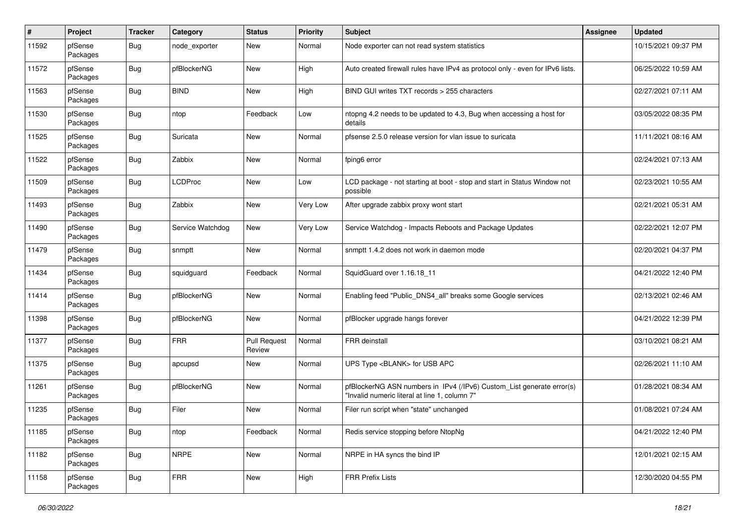| $\pmb{\#}$ | Project             | <b>Tracker</b> | Category         | <b>Status</b>                 | <b>Priority</b> | <b>Subject</b>                                                                                                         | <b>Assignee</b> | <b>Updated</b>      |
|------------|---------------------|----------------|------------------|-------------------------------|-----------------|------------------------------------------------------------------------------------------------------------------------|-----------------|---------------------|
| 11592      | pfSense<br>Packages | Bug            | node exporter    | <b>New</b>                    | Normal          | Node exporter can not read system statistics                                                                           |                 | 10/15/2021 09:37 PM |
| 11572      | pfSense<br>Packages | Bug            | pfBlockerNG      | <b>New</b>                    | High            | Auto created firewall rules have IPv4 as protocol only - even for IPv6 lists.                                          |                 | 06/25/2022 10:59 AM |
| 11563      | pfSense<br>Packages | <b>Bug</b>     | <b>BIND</b>      | <b>New</b>                    | High            | BIND GUI writes TXT records > 255 characters                                                                           |                 | 02/27/2021 07:11 AM |
| 11530      | pfSense<br>Packages | Bug            | ntop             | Feedback                      | Low             | ntopng 4.2 needs to be updated to 4.3, Bug when accessing a host for<br>details                                        |                 | 03/05/2022 08:35 PM |
| 11525      | pfSense<br>Packages | Bug            | Suricata         | <b>New</b>                    | Normal          | pfsense 2.5.0 release version for vlan issue to suricata                                                               |                 | 11/11/2021 08:16 AM |
| 11522      | pfSense<br>Packages | Bug            | Zabbix           | <b>New</b>                    | Normal          | fping6 error                                                                                                           |                 | 02/24/2021 07:13 AM |
| 11509      | pfSense<br>Packages | Bug            | <b>LCDProc</b>   | New                           | Low             | LCD package - not starting at boot - stop and start in Status Window not<br>possible                                   |                 | 02/23/2021 10:55 AM |
| 11493      | pfSense<br>Packages | Bug            | Zabbix           | <b>New</b>                    | Very Low        | After upgrade zabbix proxy wont start                                                                                  |                 | 02/21/2021 05:31 AM |
| 11490      | pfSense<br>Packages | Bug            | Service Watchdog | <b>New</b>                    | <b>Very Low</b> | Service Watchdog - Impacts Reboots and Package Updates                                                                 |                 | 02/22/2021 12:07 PM |
| 11479      | pfSense<br>Packages | Bug            | snmptt           | New                           | Normal          | snmptt 1.4.2 does not work in daemon mode                                                                              |                 | 02/20/2021 04:37 PM |
| 11434      | pfSense<br>Packages | Bug            | squidguard       | Feedback                      | Normal          | SquidGuard over 1.16.18_11                                                                                             |                 | 04/21/2022 12:40 PM |
| 11414      | pfSense<br>Packages | Bug            | pfBlockerNG      | <b>New</b>                    | Normal          | Enabling feed "Public_DNS4_all" breaks some Google services                                                            |                 | 02/13/2021 02:46 AM |
| 11398      | pfSense<br>Packages | <b>Bug</b>     | pfBlockerNG      | New                           | Normal          | pfBlocker upgrade hangs forever                                                                                        |                 | 04/21/2022 12:39 PM |
| 11377      | pfSense<br>Packages | Bug            | <b>FRR</b>       | <b>Pull Request</b><br>Review | Normal          | FRR deinstall                                                                                                          |                 | 03/10/2021 08:21 AM |
| 11375      | pfSense<br>Packages | Bug            | apcupsd          | New                           | Normal          | UPS Type <blank> for USB APC</blank>                                                                                   |                 | 02/26/2021 11:10 AM |
| 11261      | pfSense<br>Packages | Bug            | pfBlockerNG      | <b>New</b>                    | Normal          | pfBlockerNG ASN numbers in IPv4 (/IPv6) Custom_List generate error(s)<br>"Invalid numeric literal at line 1, column 7" |                 | 01/28/2021 08:34 AM |
| 11235      | pfSense<br>Packages | Bug            | Filer            | New                           | Normal          | Filer run script when "state" unchanged                                                                                |                 | 01/08/2021 07:24 AM |
| 11185      | pfSense<br>Packages | Bug            | ntop             | Feedback                      | Normal          | Redis service stopping before NtopNg                                                                                   |                 | 04/21/2022 12:40 PM |
| 11182      | pfSense<br>Packages | Bug            | <b>NRPE</b>      | New                           | Normal          | NRPE in HA syncs the bind IP                                                                                           |                 | 12/01/2021 02:15 AM |
| 11158      | pfSense<br>Packages | <b>Bug</b>     | <b>FRR</b>       | New                           | High            | <b>FRR Prefix Lists</b>                                                                                                |                 | 12/30/2020 04:55 PM |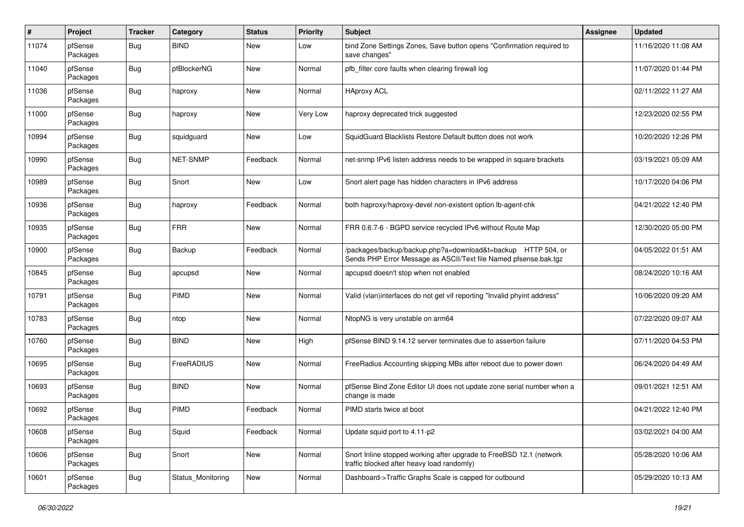| $\pmb{\#}$ | Project             | <b>Tracker</b> | Category          | <b>Status</b> | <b>Priority</b> | <b>Subject</b>                                                                                                                   | <b>Assignee</b> | <b>Updated</b>      |
|------------|---------------------|----------------|-------------------|---------------|-----------------|----------------------------------------------------------------------------------------------------------------------------------|-----------------|---------------------|
| 11074      | pfSense<br>Packages | Bug            | <b>BIND</b>       | New           | Low             | bind Zone Settings Zones, Save button opens "Confirmation required to<br>save changes"                                           |                 | 11/16/2020 11:08 AM |
| 11040      | pfSense<br>Packages | Bug            | pfBlockerNG       | <b>New</b>    | Normal          | pfb filter core faults when clearing firewall log                                                                                |                 | 11/07/2020 01:44 PM |
| 11036      | pfSense<br>Packages | Bug            | haproxy           | <b>New</b>    | Normal          | <b>HAproxy ACL</b>                                                                                                               |                 | 02/11/2022 11:27 AM |
| 11000      | pfSense<br>Packages | Bug            | haproxy           | New           | Very Low        | haproxy deprecated trick suggested                                                                                               |                 | 12/23/2020 02:55 PM |
| 10994      | pfSense<br>Packages | Bug            | squidguard        | <b>New</b>    | Low             | SquidGuard Blacklists Restore Default button does not work                                                                       |                 | 10/20/2020 12:26 PM |
| 10990      | pfSense<br>Packages | <b>Bug</b>     | NET-SNMP          | Feedback      | Normal          | net-snmp IPv6 listen address needs to be wrapped in square brackets                                                              |                 | 03/19/2021 05:09 AM |
| 10989      | pfSense<br>Packages | <b>Bug</b>     | Snort             | New           | Low             | Snort alert page has hidden characters in IPv6 address                                                                           |                 | 10/17/2020 04:06 PM |
| 10936      | pfSense<br>Packages | Bug            | haproxy           | Feedback      | Normal          | both haproxy/haproxy-devel non-existent option lb-agent-chk                                                                      |                 | 04/21/2022 12:40 PM |
| 10935      | pfSense<br>Packages | <b>Bug</b>     | <b>FRR</b>        | New           | Normal          | FRR 0.6.7-6 - BGPD service recycled IPv6 without Route Map                                                                       |                 | 12/30/2020 05:00 PM |
| 10900      | pfSense<br>Packages | Bug            | Backup            | Feedback      | Normal          | /packages/backup/backup.php?a=download&t=backup HTTP 504, or<br>Sends PHP Error Message as ASCII/Text file Named pfsense.bak.tgz |                 | 04/05/2022 01:51 AM |
| 10845      | pfSense<br>Packages | Bug            | apcupsd           | New           | Normal          | apcupsd doesn't stop when not enabled                                                                                            |                 | 08/24/2020 10:16 AM |
| 10791      | pfSense<br>Packages | Bug            | PIMD              | <b>New</b>    | Normal          | Valid (vlan)interfaces do not get vif reporting "Invalid phyint address"                                                         |                 | 10/06/2020 09:20 AM |
| 10783      | pfSense<br>Packages | <b>Bug</b>     | ntop              | <b>New</b>    | Normal          | NtopNG is very unstable on arm64                                                                                                 |                 | 07/22/2020 09:07 AM |
| 10760      | pfSense<br>Packages | Bug            | <b>BIND</b>       | <b>New</b>    | High            | pfSense BIND 9.14.12 server terminates due to assertion failure                                                                  |                 | 07/11/2020 04:53 PM |
| 10695      | pfSense<br>Packages | Bug            | FreeRADIUS        | New           | Normal          | FreeRadius Accounting skipping MBs after reboot due to power down                                                                |                 | 06/24/2020 04:49 AM |
| 10693      | pfSense<br>Packages | Bug            | <b>BIND</b>       | New           | Normal          | pfSense Bind Zone Editor UI does not update zone serial number when a<br>change is made                                          |                 | 09/01/2021 12:51 AM |
| 10692      | pfSense<br>Packages | <b>Bug</b>     | PIMD              | Feedback      | Normal          | PIMD starts twice at boot                                                                                                        |                 | 04/21/2022 12:40 PM |
| 10608      | pfSense<br>Packages | <b>Bug</b>     | Squid             | Feedback      | Normal          | Update squid port to 4.11-p2                                                                                                     |                 | 03/02/2021 04:00 AM |
| 10606      | pfSense<br>Packages | i Bug          | Snort             | New           | Normal          | Snort Inline stopped working after upgrade to FreeBSD 12.1 (network<br>traffic blocked after heavy load randomly)                |                 | 05/28/2020 10:06 AM |
| 10601      | pfSense<br>Packages | Bug            | Status_Monitoring | New           | Normal          | Dashboard->Traffic Graphs Scale is capped for outbound                                                                           |                 | 05/29/2020 10:13 AM |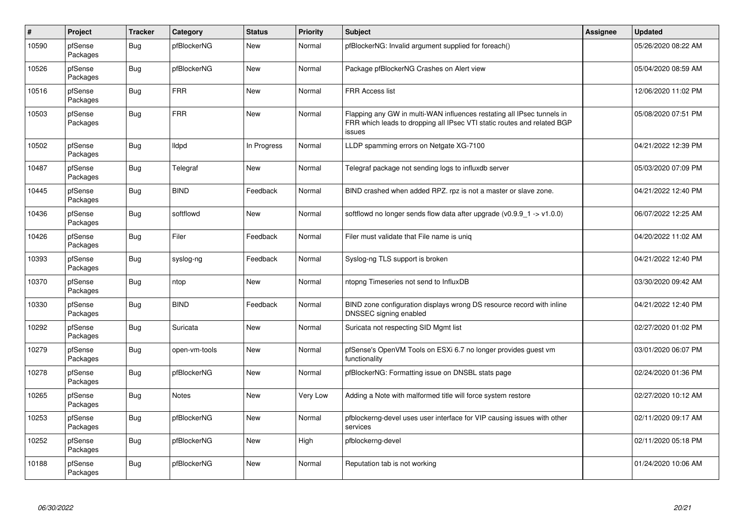| $\vert$ # | Project             | <b>Tracker</b> | Category      | <b>Status</b> | <b>Priority</b> | <b>Subject</b>                                                                                                                                              | <b>Assignee</b> | <b>Updated</b>      |
|-----------|---------------------|----------------|---------------|---------------|-----------------|-------------------------------------------------------------------------------------------------------------------------------------------------------------|-----------------|---------------------|
| 10590     | pfSense<br>Packages | Bug            | pfBlockerNG   | New           | Normal          | pfBlockerNG: Invalid argument supplied for foreach()                                                                                                        |                 | 05/26/2020 08:22 AM |
| 10526     | pfSense<br>Packages | <b>Bug</b>     | pfBlockerNG   | <b>New</b>    | Normal          | Package pfBlockerNG Crashes on Alert view                                                                                                                   |                 | 05/04/2020 08:59 AM |
| 10516     | pfSense<br>Packages | <b>Bug</b>     | <b>FRR</b>    | <b>New</b>    | Normal          | <b>FRR Access list</b>                                                                                                                                      |                 | 12/06/2020 11:02 PM |
| 10503     | pfSense<br>Packages | Bug            | <b>FRR</b>    | <b>New</b>    | Normal          | Flapping any GW in multi-WAN influences restating all IPsec tunnels in<br>FRR which leads to dropping all IPsec VTI static routes and related BGP<br>issues |                 | 05/08/2020 07:51 PM |
| 10502     | pfSense<br>Packages | Bug            | lldpd         | In Progress   | Normal          | LLDP spamming errors on Netgate XG-7100                                                                                                                     |                 | 04/21/2022 12:39 PM |
| 10487     | pfSense<br>Packages | <b>Bug</b>     | Telegraf      | <b>New</b>    | Normal          | Telegraf package not sending logs to influxdb server                                                                                                        |                 | 05/03/2020 07:09 PM |
| 10445     | pfSense<br>Packages | <b>Bug</b>     | <b>BIND</b>   | Feedback      | Normal          | BIND crashed when added RPZ. rpz is not a master or slave zone.                                                                                             |                 | 04/21/2022 12:40 PM |
| 10436     | pfSense<br>Packages | <b>Bug</b>     | softflowd     | <b>New</b>    | Normal          | softflowd no longer sends flow data after upgrade ( $v0.9.9 - 1 \rightarrow v1.0.0$ )                                                                       |                 | 06/07/2022 12:25 AM |
| 10426     | pfSense<br>Packages | Bug            | Filer         | Feedback      | Normal          | Filer must validate that File name is uniq                                                                                                                  |                 | 04/20/2022 11:02 AM |
| 10393     | pfSense<br>Packages | Bug            | syslog-ng     | Feedback      | Normal          | Syslog-ng TLS support is broken                                                                                                                             |                 | 04/21/2022 12:40 PM |
| 10370     | pfSense<br>Packages | <b>Bug</b>     | ntop          | New           | Normal          | ntopng Timeseries not send to InfluxDB                                                                                                                      |                 | 03/30/2020 09:42 AM |
| 10330     | pfSense<br>Packages | Bug            | <b>BIND</b>   | Feedback      | Normal          | BIND zone configuration displays wrong DS resource record with inline<br>DNSSEC signing enabled                                                             |                 | 04/21/2022 12:40 PM |
| 10292     | pfSense<br>Packages | <b>Bug</b>     | Suricata      | New           | Normal          | Suricata not respecting SID Mgmt list                                                                                                                       |                 | 02/27/2020 01:02 PM |
| 10279     | pfSense<br>Packages | <b>Bug</b>     | open-vm-tools | New           | Normal          | pfSense's OpenVM Tools on ESXi 6.7 no longer provides guest vm<br>functionality                                                                             |                 | 03/01/2020 06:07 PM |
| 10278     | pfSense<br>Packages | <b>Bug</b>     | pfBlockerNG   | <b>New</b>    | Normal          | pfBlockerNG: Formatting issue on DNSBL stats page                                                                                                           |                 | 02/24/2020 01:36 PM |
| 10265     | pfSense<br>Packages | Bug            | <b>Notes</b>  | <b>New</b>    | Very Low        | Adding a Note with malformed title will force system restore                                                                                                |                 | 02/27/2020 10:12 AM |
| 10253     | pfSense<br>Packages | Bug            | pfBlockerNG   | <b>New</b>    | Normal          | pfblockerng-devel uses user interface for VIP causing issues with other<br>services                                                                         |                 | 02/11/2020 09:17 AM |
| 10252     | pfSense<br>Packages | <b>Bug</b>     | pfBlockerNG   | New           | High            | pfblockerng-devel                                                                                                                                           |                 | 02/11/2020 05:18 PM |
| 10188     | pfSense<br>Packages | Bug            | pfBlockerNG   | <b>New</b>    | Normal          | Reputation tab is not working                                                                                                                               |                 | 01/24/2020 10:06 AM |